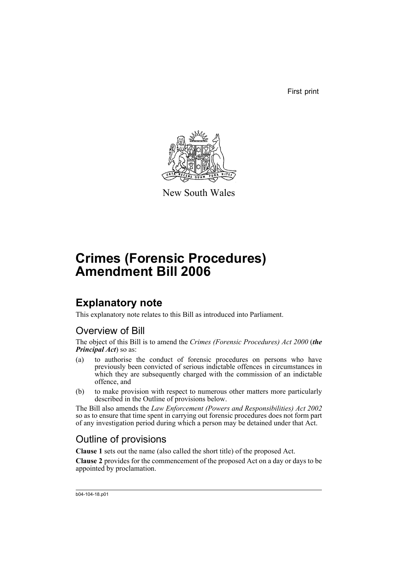First print



New South Wales

# **Crimes (Forensic Procedures) Amendment Bill 2006**

# **Explanatory note**

This explanatory note relates to this Bill as introduced into Parliament.

# Overview of Bill

The object of this Bill is to amend the *Crimes (Forensic Procedures) Act 2000* (*the Principal Act*) so as:

- (a) to authorise the conduct of forensic procedures on persons who have previously been convicted of serious indictable offences in circumstances in which they are subsequently charged with the commission of an indictable offence, and
- (b) to make provision with respect to numerous other matters more particularly described in the Outline of provisions below.

The Bill also amends the *Law Enforcement (Powers and Responsibilities) Act 2002* so as to ensure that time spent in carrying out forensic procedures does not form part of any investigation period during which a person may be detained under that Act.

# Outline of provisions

**Clause 1** sets out the name (also called the short title) of the proposed Act.

**Clause 2** provides for the commencement of the proposed Act on a day or days to be appointed by proclamation.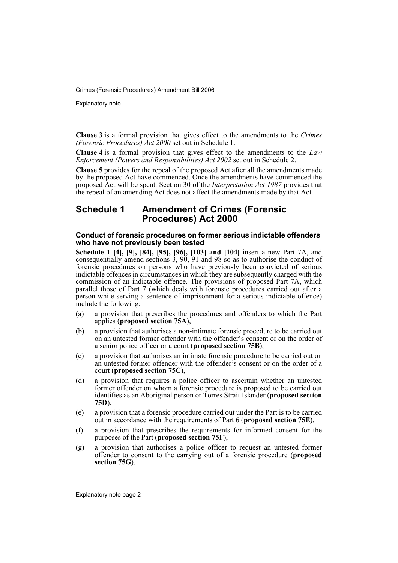Explanatory note

**Clause 3** is a formal provision that gives effect to the amendments to the *Crimes (Forensic Procedures) Act 2000* set out in Schedule 1.

**Clause 4** is a formal provision that gives effect to the amendments to the *Law Enforcement (Powers and Responsibilities) Act 2002* set out in Schedule 2.

**Clause 5** provides for the repeal of the proposed Act after all the amendments made by the proposed Act have commenced. Once the amendments have commenced the proposed Act will be spent. Section 30 of the *Interpretation Act 1987* provides that the repeal of an amending Act does not affect the amendments made by that Act.

# **Schedule 1 Amendment of Crimes (Forensic Procedures) Act 2000**

## **Conduct of forensic procedures on former serious indictable offenders who have not previously been tested**

**Schedule 1 [4], [9], [84], [95], [96], [103] and [104]** insert a new Part 7A, and consequentially amend sections 3, 90, 91 and 98 so as to authorise the conduct of forensic procedures on persons who have previously been convicted of serious indictable offences in circumstances in which they are subsequently charged with the commission of an indictable offence. The provisions of proposed Part 7A, which parallel those of Part 7 (which deals with forensic procedures carried out after a person while serving a sentence of imprisonment for a serious indictable offence) include the following:

- (a) a provision that prescribes the procedures and offenders to which the Part applies (**proposed section 75A**),
- (b) a provision that authorises a non-intimate forensic procedure to be carried out on an untested former offender with the offender's consent or on the order of a senior police officer or a court (**proposed section 75B**),
- (c) a provision that authorises an intimate forensic procedure to be carried out on an untested former offender with the offender's consent or on the order of a court (**proposed section 75C**),
- (d) a provision that requires a police officer to ascertain whether an untested former offender on whom a forensic procedure is proposed to be carried out identifies as an Aboriginal person or Torres Strait Islander (**proposed section 75D**),
- (e) a provision that a forensic procedure carried out under the Part is to be carried out in accordance with the requirements of Part 6 (**proposed section 75E**),
- (f) a provision that prescribes the requirements for informed consent for the purposes of the Part (**proposed section 75F**),
- (g) a provision that authorises a police officer to request an untested former offender to consent to the carrying out of a forensic procedure (**proposed section 75G**),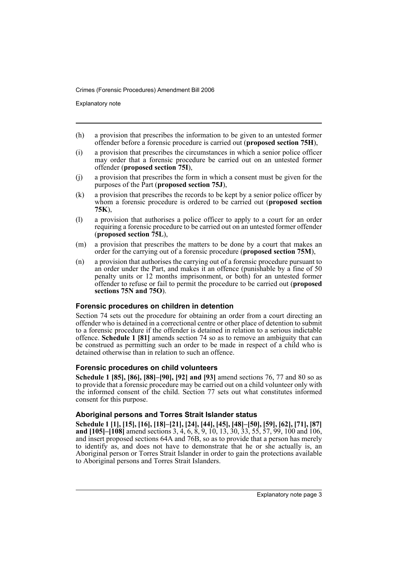Explanatory note

- (h) a provision that prescribes the information to be given to an untested former offender before a forensic procedure is carried out (**proposed section 75H**),
- (i) a provision that prescribes the circumstances in which a senior police officer may order that a forensic procedure be carried out on an untested former offender (**proposed section 75I**),
- (j) a provision that prescribes the form in which a consent must be given for the purposes of the Part (**proposed section 75J**),
- (k) a provision that prescribes the records to be kept by a senior police officer by whom a forensic procedure is ordered to be carried out (**proposed section 75K**),
- (l) a provision that authorises a police officer to apply to a court for an order requiring a forensic procedure to be carried out on an untested former offender (**proposed section 75L**),
- (m) a provision that prescribes the matters to be done by a court that makes an order for the carrying out of a forensic procedure (**proposed section 75M**),
- (n) a provision that authorises the carrying out of a forensic procedure pursuant to an order under the Part, and makes it an offence (punishable by a fine of 50 penalty units or 12 months imprisonment, or both) for an untested former offender to refuse or fail to permit the procedure to be carried out (**proposed sections 75N and 75O**).

# **Forensic procedures on children in detention**

Section 74 sets out the procedure for obtaining an order from a court directing an offender who is detained in a correctional centre or other place of detention to submit to a forensic procedure if the offender is detained in relation to a serious indictable offence. **Schedule 1 [81]** amends section 74 so as to remove an ambiguity that can be construed as permitting such an order to be made in respect of a child who is detained otherwise than in relation to such an offence.

# **Forensic procedures on child volunteers**

**Schedule 1 [85], [86], [88]–[90], [92] and [93]** amend sections 76, 77 and 80 so as to provide that a forensic procedure may be carried out on a child volunteer only with the informed consent of the child. Section 77 sets out what constitutes informed consent for this purpose.

# **Aboriginal persons and Torres Strait Islander status**

**Schedule 1 [1], [15], [16], [18]–[21], [24], [44], [45], [48]–[50], [59], [62], [71], [87] and [105]–[108]** amend sections 3, 4, 6, 8, 9, 10, 13, 30, 33, 55, 57, 99, 100 and 106, and insert proposed sections 64A and 76B, so as to provide that a person has merely to identify as, and does not have to demonstrate that he or she actually is, an Aboriginal person or Torres Strait Islander in order to gain the protections available to Aboriginal persons and Torres Strait Islanders.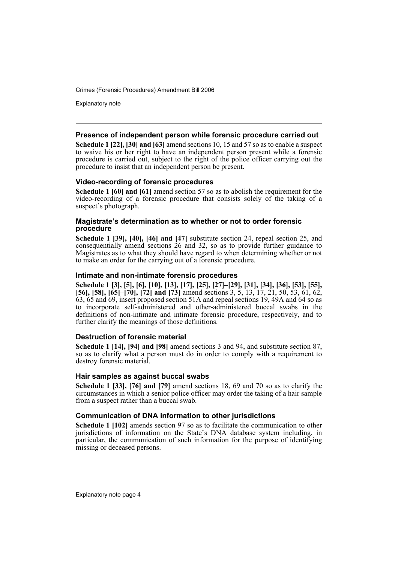Explanatory note

## **Presence of independent person while forensic procedure carried out**

**Schedule 1 [22], [30] and [63]** amend sections 10, 15 and 57 so as to enable a suspect to waive his or her right to have an independent person present while a forensic procedure is carried out, subject to the right of the police officer carrying out the procedure to insist that an independent person be present.

### **Video-recording of forensic procedures**

**Schedule 1 [60] and [61]** amend section 57 so as to abolish the requirement for the video-recording of a forensic procedure that consists solely of the taking of a suspect's photograph.

## **Magistrate's determination as to whether or not to order forensic procedure**

**Schedule 1 [39], [40], [46] and [47]** substitute section 24, repeal section 25, and consequentially amend sections 26 and 32, so as to provide further guidance to Magistrates as to what they should have regard to when determining whether or not to make an order for the carrying out of a forensic procedure.

### **Intimate and non-intimate forensic procedures**

**Schedule 1 [3], [5], [6], [10], [13], [17], [25], [27]–[29], [31], [34], [36], [53], [55], [56], [58], [65]–[70], [72] and [73]** amend sections 3, 5, 13, 17, 21, 50, 53, 61, 62, 63, 65 and 69, insert proposed section 51A and repeal sections 19, 49A and 64 so as to incorporate self-administered and other-administered buccal swabs in the definitions of non-intimate and intimate forensic procedure, respectively, and to further clarify the meanings of those definitions.

# **Destruction of forensic material**

**Schedule 1 [14], [94] and [98]** amend sections 3 and 94, and substitute section 87, so as to clarify what a person must do in order to comply with a requirement to destroy forensic material.

### **Hair samples as against buccal swabs**

**Schedule 1 [33], [76] and [79]** amend sections 18, 69 and 70 so as to clarify the circumstances in which a senior police officer may order the taking of a hair sample from a suspect rather than a buccal swab.

# **Communication of DNA information to other jurisdictions**

**Schedule 1 [102]** amends section 97 so as to facilitate the communication to other jurisdictions of information on the State's DNA database system including, in particular, the communication of such information for the purpose of identifying missing or deceased persons.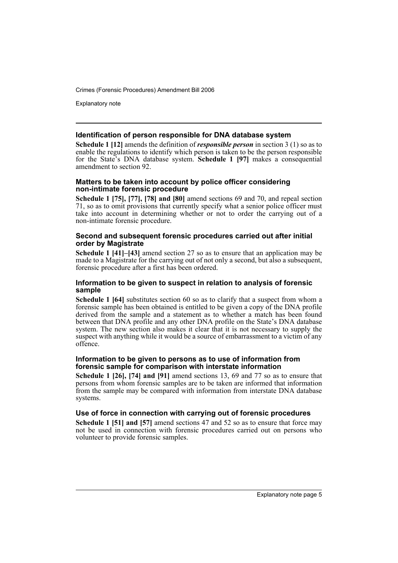Explanatory note

# **Identification of person responsible for DNA database system**

**Schedule 1 [12]** amends the definition of *responsible person* in section 3 (1) so as to enable the regulations to identify which person is taken to be the person responsible for the State's DNA database system. **Schedule 1 [97]** makes a consequential amendment to section 92.

# **Matters to be taken into account by police officer considering non-intimate forensic procedure**

**Schedule 1 [75], [77], [78] and [80]** amend sections 69 and 70, and repeal section 71, so as to omit provisions that currently specify what a senior police officer must take into account in determining whether or not to order the carrying out of a non-intimate forensic procedure.

# **Second and subsequent forensic procedures carried out after initial order by Magistrate**

**Schedule 1 [41]–[43]** amend section 27 so as to ensure that an application may be made to a Magistrate for the carrying out of not only a second, but also a subsequent, forensic procedure after a first has been ordered.

# **Information to be given to suspect in relation to analysis of forensic sample**

**Schedule 1 [64]** substitutes section 60 so as to clarify that a suspect from whom a forensic sample has been obtained is entitled to be given a copy of the DNA profile derived from the sample and a statement as to whether a match has been found between that DNA profile and any other DNA profile on the State's DNA database system. The new section also makes it clear that it is not necessary to supply the suspect with anything while it would be a source of embarrassment to a victim of any offence.

# **Information to be given to persons as to use of information from forensic sample for comparison with interstate information**

**Schedule 1 [26], [74] and [91]** amend sections 13, 69 and 77 so as to ensure that persons from whom forensic samples are to be taken are informed that information from the sample may be compared with information from interstate DNA database systems.

# **Use of force in connection with carrying out of forensic procedures**

**Schedule 1 [51] and [57]** amend sections 47 and 52 so as to ensure that force may not be used in connection with forensic procedures carried out on persons who volunteer to provide forensic samples.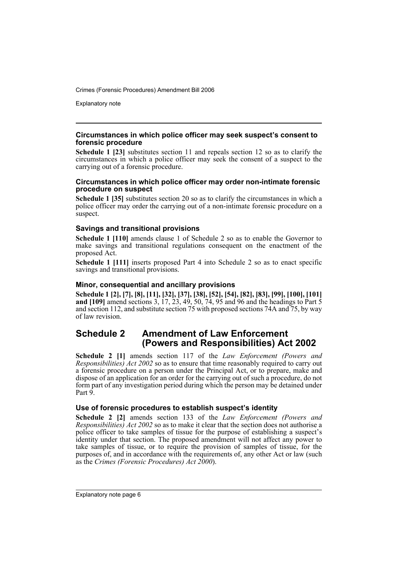Explanatory note

# **Circumstances in which police officer may seek suspect's consent to forensic procedure**

**Schedule 1 [23]** substitutes section 11 and repeals section 12 so as to clarify the circumstances in which a police officer may seek the consent of a suspect to the carrying out of a forensic procedure.

# **Circumstances in which police officer may order non-intimate forensic procedure on suspect**

**Schedule 1 [35]** substitutes section 20 so as to clarify the circumstances in which a police officer may order the carrying out of a non-intimate forensic procedure on a suspect.

# **Savings and transitional provisions**

**Schedule 1 [110]** amends clause 1 of Schedule 2 so as to enable the Governor to make savings and transitional regulations consequent on the enactment of the proposed Act.

**Schedule 1 [111]** inserts proposed Part 4 into Schedule 2 so as to enact specific savings and transitional provisions.

# **Minor, consequential and ancillary provisions**

**Schedule 1 [2], [7], [8], [11], [32], [37], [38], [52], [54], [82], [83], [99], [100], [101] and [109]** amend sections 3, 17, 23, 49, 50, 74, 95 and 96 and the headings to Part 5 and section 112, and substitute section 75 with proposed sections 74A and 75, by way of law revision.

# **Schedule 2 Amendment of Law Enforcement (Powers and Responsibilities) Act 2002**

**Schedule 2 [1]** amends section 117 of the *Law Enforcement (Powers and Responsibilities) Act 2002* so as to ensure that time reasonably required to carry out a forensic procedure on a person under the Principal Act, or to prepare, make and dispose of an application for an order for the carrying out of such a procedure, do not form part of any investigation period during which the person may be detained under Part 9

# **Use of forensic procedures to establish suspect's identity**

**Schedule 2 [2]** amends section 133 of the *Law Enforcement (Powers and Responsibilities) Act 2002* so as to make it clear that the section does not authorise a police officer to take samples of tissue for the purpose of establishing a suspect's identity under that section. The proposed amendment will not affect any power to take samples of tissue, or to require the provision of samples of tissue, for the purposes of, and in accordance with the requirements of, any other Act or law (such as the *Crimes (Forensic Procedures) Act 2000*).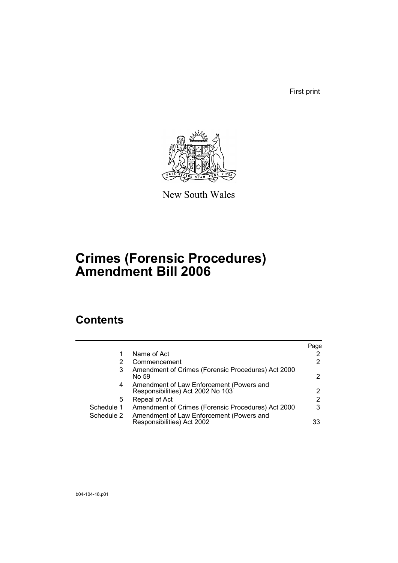First print



New South Wales

# **Crimes (Forensic Procedures) Amendment Bill 2006**

# **Contents**

|            |                                                                               | Page |
|------------|-------------------------------------------------------------------------------|------|
|            | Name of Act                                                                   |      |
|            | Commencement                                                                  |      |
| 3          | Amendment of Crimes (Forensic Procedures) Act 2000<br>No 59                   | 2    |
| 4          | Amendment of Law Enforcement (Powers and<br>Responsibilities) Act 2002 No 103 | 2    |
| 5          | Repeal of Act                                                                 | 2    |
| Schedule 1 | Amendment of Crimes (Forensic Procedures) Act 2000                            | 3    |
| Schedule 2 | Amendment of Law Enforcement (Powers and<br>Responsibilities) Act 2002        | 33   |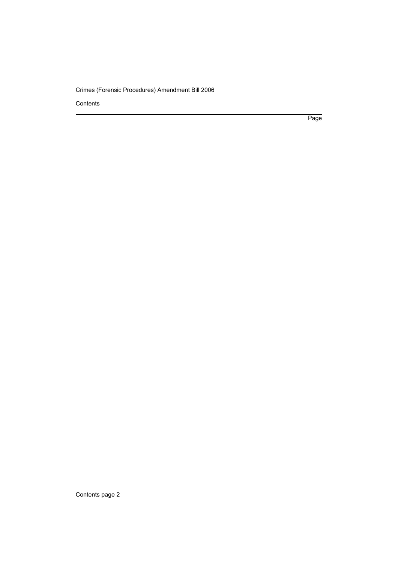Contents

Page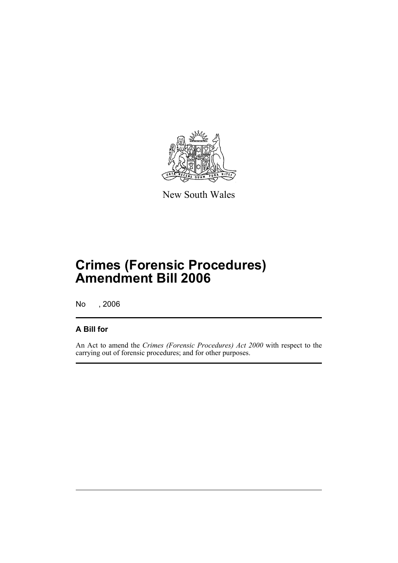

New South Wales

# **Crimes (Forensic Procedures) Amendment Bill 2006**

No , 2006

# **A Bill for**

An Act to amend the *Crimes (Forensic Procedures) Act 2000* with respect to the carrying out of forensic procedures; and for other purposes.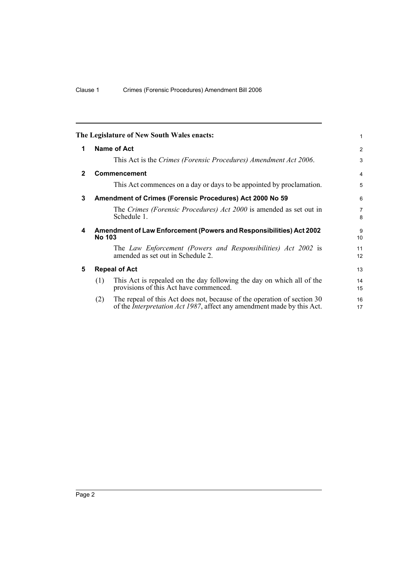<span id="page-9-4"></span><span id="page-9-3"></span><span id="page-9-2"></span><span id="page-9-1"></span><span id="page-9-0"></span>

| The Legislature of New South Wales enacts:                                                                                                                       | 1                    |
|------------------------------------------------------------------------------------------------------------------------------------------------------------------|----------------------|
| Name of Act<br>1                                                                                                                                                 | 2                    |
| This Act is the Crimes (Forensic Procedures) Amendment Act 2006.                                                                                                 | 3                    |
| $\mathbf{2}$<br><b>Commencement</b>                                                                                                                              | 4                    |
| This Act commences on a day or days to be appointed by proclamation.                                                                                             | 5                    |
| 3<br>Amendment of Crimes (Forensic Procedures) Act 2000 No 59                                                                                                    | 6                    |
| The Crimes (Forensic Procedures) Act 2000 is amended as set out in<br>Schedule 1.                                                                                | $\overline{7}$<br>8  |
| Amendment of Law Enforcement (Powers and Responsibilities) Act 2002<br>4<br><b>No 103</b>                                                                        | 9<br>10 <sup>1</sup> |
| The Law Enforcement (Powers and Responsibilities) Act 2002 is<br>amended as set out in Schedule 2.                                                               | 11<br>12             |
| 5<br><b>Repeal of Act</b>                                                                                                                                        | 13                   |
| This Act is repealed on the day following the day on which all of the<br>(1)<br>provisions of this Act have commenced.                                           | 14<br>15             |
| The repeal of this Act does not, because of the operation of section 30<br>(2)<br>of the <i>Interpretation Act 1987</i> , affect any amendment made by this Act. | 16<br>17             |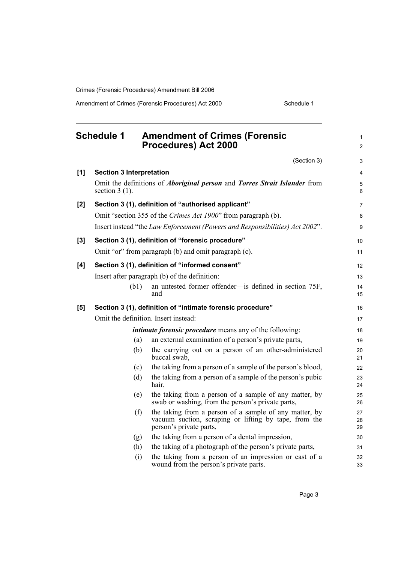Amendment of Crimes (Forensic Procedures) Act 2000 Schedule 1

<span id="page-10-0"></span>

|       | <b>Schedule 1</b>                    | <b>Amendment of Crimes (Forensic</b><br><b>Procedures) Act 2000</b>                                                                        | $\mathbf{1}$<br>2 |
|-------|--------------------------------------|--------------------------------------------------------------------------------------------------------------------------------------------|-------------------|
|       |                                      | (Section 3)                                                                                                                                | 3                 |
| [1]   | <b>Section 3 Interpretation</b>      |                                                                                                                                            | $\overline{4}$    |
|       | section $3(1)$ .                     | Omit the definitions of <i>Aboriginal person</i> and <i>Torres Strait Islander</i> from                                                    | 5<br>6            |
| $[2]$ |                                      | Section 3 (1), definition of "authorised applicant"                                                                                        | $\overline{7}$    |
|       |                                      | Omit "section 355 of the Crimes Act 1900" from paragraph (b).                                                                              | 8                 |
|       |                                      | Insert instead "the Law Enforcement (Powers and Responsibilities) Act 2002".                                                               | 9                 |
| $[3]$ |                                      | Section 3 (1), definition of "forensic procedure"                                                                                          | 10                |
|       |                                      | Omit "or" from paragraph (b) and omit paragraph (c).                                                                                       | 11                |
| [4]   |                                      | Section 3 (1), definition of "informed consent"                                                                                            | 12                |
|       |                                      | Insert after paragraph (b) of the definition:                                                                                              | 13                |
|       | (b1)                                 | an untested former offender-is defined in section 75F,                                                                                     | 14                |
|       |                                      | and                                                                                                                                        | 15                |
| [5]   |                                      | Section 3 (1), definition of "intimate forensic procedure"                                                                                 | 16                |
|       | Omit the definition. Insert instead: |                                                                                                                                            | 17                |
|       |                                      | <i>intimate forensic procedure</i> means any of the following:                                                                             | 18                |
|       | (a)                                  | an external examination of a person's private parts,                                                                                       | 19                |
|       | (b)                                  | the carrying out on a person of an other-administered<br>buccal swab.                                                                      | 20<br>21          |
|       | (c)                                  | the taking from a person of a sample of the person's blood,                                                                                | 22                |
|       | (d)                                  | the taking from a person of a sample of the person's pubic<br>hair,                                                                        | 23<br>24          |
|       | (e)                                  | the taking from a person of a sample of any matter, by<br>swab or washing, from the person's private parts,                                | 25<br>26          |
|       | (f)                                  | the taking from a person of a sample of any matter, by<br>vacuum suction, scraping or lifting by tape, from the<br>person's private parts, | 27<br>28<br>29    |
|       | (g)                                  | the taking from a person of a dental impression,                                                                                           | 30                |
|       | (h)                                  | the taking of a photograph of the person's private parts,                                                                                  | 31                |
|       | (i)                                  | the taking from a person of an impression or cast of a<br>wound from the person's private parts.                                           | 32<br>33          |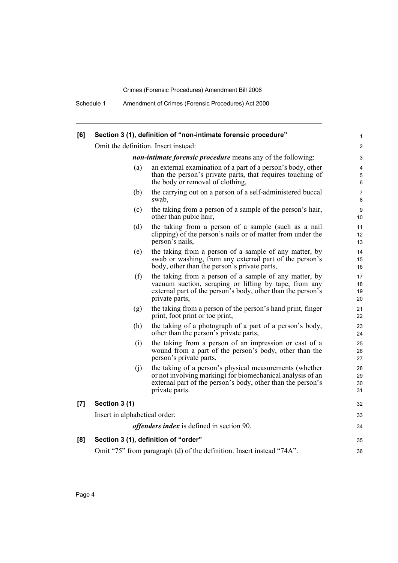| [6]   | Section 3 (1), definition of "non-intimate forensic procedure" |                                                                                                                                                                                                        |                         |  |  |
|-------|----------------------------------------------------------------|--------------------------------------------------------------------------------------------------------------------------------------------------------------------------------------------------------|-------------------------|--|--|
|       | Omit the definition. Insert instead:                           |                                                                                                                                                                                                        | $\overline{\mathbf{c}}$ |  |  |
|       |                                                                | non-intimate forensic procedure means any of the following:                                                                                                                                            | 3                       |  |  |
|       | (a)                                                            | an external examination of a part of a person's body, other<br>than the person's private parts, that requires touching of<br>the body or removal of clothing,                                          | 4<br>5<br>6             |  |  |
|       | (b)                                                            | the carrying out on a person of a self-administered buccal<br>swab,                                                                                                                                    | 7<br>8                  |  |  |
|       | (c)                                                            | the taking from a person of a sample of the person's hair,<br>other than pubic hair,                                                                                                                   | 9<br>10                 |  |  |
|       | (d)                                                            | the taking from a person of a sample (such as a nail<br>clipping) of the person's nails or of matter from under the<br>person's nails,                                                                 | 11<br>12<br>13          |  |  |
|       | (e)                                                            | the taking from a person of a sample of any matter, by<br>swab or washing, from any external part of the person's<br>body, other than the person's private parts,                                      | 14<br>15<br>16          |  |  |
|       | (f)                                                            | the taking from a person of a sample of any matter, by<br>vacuum suction, scraping or lifting by tape, from any<br>external part of the person's body, other than the person's<br>private parts,       | 17<br>18<br>19<br>20    |  |  |
|       | (g)                                                            | the taking from a person of the person's hand print, finger<br>print, foot print or toe print,                                                                                                         | 21<br>22                |  |  |
|       | (h)                                                            | the taking of a photograph of a part of a person's body,<br>other than the person's private parts,                                                                                                     | 23<br>24                |  |  |
|       | (i)                                                            | the taking from a person of an impression or cast of a<br>wound from a part of the person's body, other than the<br>person's private parts,                                                            | 25<br>26<br>27          |  |  |
|       | (i)                                                            | the taking of a person's physical measurements (whether<br>or not involving marking) for biomechanical analysis of an<br>external part of the person's body, other than the person's<br>private parts. | 28<br>29<br>30<br>31    |  |  |
| $[7]$ | Section 3 (1)                                                  |                                                                                                                                                                                                        | 32                      |  |  |
|       | Insert in alphabetical order:                                  |                                                                                                                                                                                                        |                         |  |  |
|       | <i>offenders index</i> is defined in section 90.               |                                                                                                                                                                                                        |                         |  |  |
| [8]   |                                                                | Section 3 (1), definition of "order"                                                                                                                                                                   | 35                      |  |  |
|       |                                                                | Omit "75" from paragraph (d) of the definition. Insert instead "74A".                                                                                                                                  | 36                      |  |  |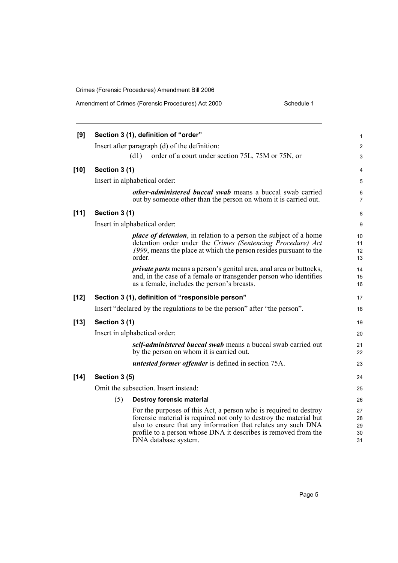| Amendment of Crimes (Forensic Procedures) Act 2000 | Schedule 1 |
|----------------------------------------------------|------------|
|----------------------------------------------------|------------|

| [9]    |               | Section 3 (1), definition of "order"                                                                                                                                                                                                                                                               | 1                          |
|--------|---------------|----------------------------------------------------------------------------------------------------------------------------------------------------------------------------------------------------------------------------------------------------------------------------------------------------|----------------------------|
|        |               | Insert after paragraph (d) of the definition:                                                                                                                                                                                                                                                      | $\overline{c}$             |
|        |               | (d1)<br>order of a court under section 75L, 75M or 75N, or                                                                                                                                                                                                                                         | 3                          |
| $[10]$ | Section 3 (1) |                                                                                                                                                                                                                                                                                                    | 4                          |
|        |               | Insert in alphabetical order:                                                                                                                                                                                                                                                                      | 5                          |
|        |               | other-administered buccal swab means a buccal swab carried<br>out by someone other than the person on whom it is carried out.                                                                                                                                                                      | 6<br>7                     |
| $[11]$ | Section 3 (1) |                                                                                                                                                                                                                                                                                                    | 8                          |
|        |               | Insert in alphabetical order:                                                                                                                                                                                                                                                                      | 9                          |
|        |               | <i>place of detention</i> , in relation to a person the subject of a home<br>detention order under the Crimes (Sentencing Procedure) Act<br>1999, means the place at which the person resides pursuant to the<br>order.                                                                            | 10<br>11<br>12<br>13       |
|        |               | <i>private parts</i> means a person's genital area, anal area or buttocks,<br>and, in the case of a female or transgender person who identifies<br>as a female, includes the person's breasts.                                                                                                     | 14<br>15<br>16             |
| $[12]$ |               | Section 3 (1), definition of "responsible person"                                                                                                                                                                                                                                                  | 17                         |
|        |               | Insert "declared by the regulations to be the person" after "the person".                                                                                                                                                                                                                          | 18                         |
| $[13]$ | Section 3 (1) |                                                                                                                                                                                                                                                                                                    | 19                         |
|        |               | Insert in alphabetical order:                                                                                                                                                                                                                                                                      | 20                         |
|        |               | self-administered buccal swab means a buccal swab carried out<br>by the person on whom it is carried out.                                                                                                                                                                                          | 21<br>22                   |
|        |               | <i>untested former offender</i> is defined in section 75A.                                                                                                                                                                                                                                         | 23                         |
| $[14]$ | Section 3 (5) |                                                                                                                                                                                                                                                                                                    | 24                         |
|        |               | Omit the subsection. Insert instead:                                                                                                                                                                                                                                                               | 25                         |
|        | (5)           | <b>Destroy forensic material</b>                                                                                                                                                                                                                                                                   | 26                         |
|        |               | For the purposes of this Act, a person who is required to destroy<br>forensic material is required not only to destroy the material but<br>also to ensure that any information that relates any such DNA<br>profile to a person whose DNA it describes is removed from the<br>DNA database system. | 27<br>28<br>29<br>30<br>31 |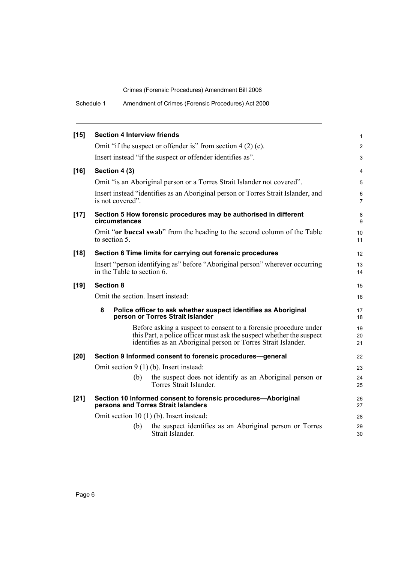Schedule 1 Amendment of Crimes (Forensic Procedures) Act 2000

| $[15]$ | <b>Section 4 Interview friends</b>                                                                                                                                                                        | $\mathbf{1}$          |
|--------|-----------------------------------------------------------------------------------------------------------------------------------------------------------------------------------------------------------|-----------------------|
|        | Omit "if the suspect or offender is" from section $4(2)(c)$ .                                                                                                                                             | 2                     |
|        | Insert instead "if the suspect or offender identifies as".                                                                                                                                                | 3                     |
| $[16]$ | Section 4 (3)                                                                                                                                                                                             | 4                     |
|        | Omit "is an Aboriginal person or a Torres Strait Islander not covered".                                                                                                                                   | 5                     |
|        | Insert instead "identifies as an Aboriginal person or Torres Strait Islander, and<br>is not covered"                                                                                                      | 6<br>$\overline{7}$   |
| $[17]$ | Section 5 How forensic procedures may be authorised in different<br>circumstances                                                                                                                         | 8<br>9                |
|        | Omit "or buccal swab" from the heading to the second column of the Table<br>to section 5.                                                                                                                 | 10 <sup>1</sup><br>11 |
| $[18]$ | Section 6 Time limits for carrying out forensic procedures                                                                                                                                                | 12                    |
|        | Insert "person identifying as" before "Aboriginal person" wherever occurring<br>in the Table to section 6.                                                                                                | 13<br>14              |
| $[19]$ | <b>Section 8</b>                                                                                                                                                                                          | 15                    |
|        | Omit the section. Insert instead:                                                                                                                                                                         | 16                    |
|        | 8<br>Police officer to ask whether suspect identifies as Aboriginal<br>person or Torres Strait Islander                                                                                                   | 17<br>18              |
|        | Before asking a suspect to consent to a forensic procedure under<br>this Part, a police officer must ask the suspect whether the suspect<br>identifies as an Aboriginal person or Torres Strait Islander. | 19<br>20<br>21        |
| $[20]$ | Section 9 Informed consent to forensic procedures-general                                                                                                                                                 | 22                    |
|        | Omit section $9(1)(b)$ . Insert instead:                                                                                                                                                                  | 23                    |
|        | the suspect does not identify as an Aboriginal person or<br>(b)<br>Torres Strait Islander.                                                                                                                | 24<br>25              |
| $[21]$ | Section 10 Informed consent to forensic procedures-Aboriginal<br>persons and Torres Strait Islanders                                                                                                      | 26<br>27              |
|        | Omit section $10(1)$ (b). Insert instead:                                                                                                                                                                 | 28                    |
|        | the suspect identifies as an Aboriginal person or Torres<br>(b)<br>Strait Islander.                                                                                                                       | 29<br>30              |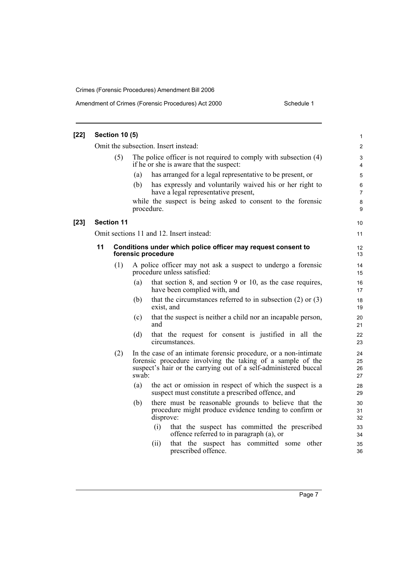| $[22]$ | <b>Section 10 (5)</b> |                   |                                                                                                             |                                                                                                                                                                                                    |                      |  |  |  |
|--------|-----------------------|-------------------|-------------------------------------------------------------------------------------------------------------|----------------------------------------------------------------------------------------------------------------------------------------------------------------------------------------------------|----------------------|--|--|--|
|        |                       |                   |                                                                                                             | Omit the subsection. Insert instead:                                                                                                                                                               | $\overline{2}$       |  |  |  |
|        |                       | (5)               | The police officer is not required to comply with subsection (4)<br>if he or she is aware that the suspect: |                                                                                                                                                                                                    | 3<br>4               |  |  |  |
|        |                       |                   | (a)                                                                                                         | has arranged for a legal representative to be present, or                                                                                                                                          | 5                    |  |  |  |
|        |                       |                   | (b)                                                                                                         | has expressly and voluntarily waived his or her right to<br>have a legal representative present,                                                                                                   | 6<br>7               |  |  |  |
|        |                       |                   | procedure.                                                                                                  | while the suspect is being asked to consent to the forensic                                                                                                                                        | 8<br>9               |  |  |  |
| $[23]$ |                       | <b>Section 11</b> |                                                                                                             |                                                                                                                                                                                                    | 10                   |  |  |  |
|        |                       |                   |                                                                                                             | Omit sections 11 and 12. Insert instead:                                                                                                                                                           | 11                   |  |  |  |
|        | 11                    |                   |                                                                                                             | Conditions under which police officer may request consent to<br>forensic procedure                                                                                                                 | 12<br>13             |  |  |  |
|        |                       | (1)               |                                                                                                             | A police officer may not ask a suspect to undergo a forensic<br>procedure unless satisfied:                                                                                                        | 14<br>15             |  |  |  |
|        |                       |                   | (a)                                                                                                         | that section 8, and section 9 or 10, as the case requires,<br>have been complied with, and                                                                                                         | 16<br>17             |  |  |  |
|        |                       |                   | (b)                                                                                                         | that the circumstances referred to in subsection $(2)$ or $(3)$<br>exist, and                                                                                                                      | 18<br>19             |  |  |  |
|        |                       |                   | (c)                                                                                                         | that the suspect is neither a child nor an incapable person,<br>and                                                                                                                                | 20<br>21             |  |  |  |
|        |                       |                   | (d)                                                                                                         | that the request for consent is justified in all the<br>circumstances.                                                                                                                             | 22<br>23             |  |  |  |
|        |                       | (2)               | swab:                                                                                                       | In the case of an intimate forensic procedure, or a non-intimate<br>forensic procedure involving the taking of a sample of the<br>suspect's hair or the carrying out of a self-administered buccal | 24<br>25<br>26<br>27 |  |  |  |
|        |                       |                   | (a)                                                                                                         | the act or omission in respect of which the suspect is a<br>suspect must constitute a prescribed offence, and                                                                                      | 28<br>29             |  |  |  |
|        |                       |                   | (b)                                                                                                         | there must be reasonable grounds to believe that the<br>procedure might produce evidence tending to confirm or<br>disprove:                                                                        | 30<br>31<br>32       |  |  |  |
|        |                       |                   |                                                                                                             | (i)<br>that the suspect has committed the prescribed<br>offence referred to in paragraph (a), or                                                                                                   | 33<br>34             |  |  |  |
|        |                       |                   |                                                                                                             | that the suspect has committed some other<br>(ii)<br>prescribed offence.                                                                                                                           | 35<br>36             |  |  |  |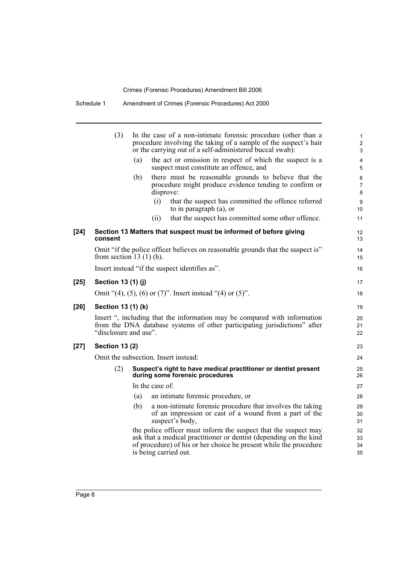|        | (3)                                                                                                          |     |                 | In the case of a non-intimate forensic procedure (other than a<br>procedure involving the taking of a sample of the suspect's hair<br>or the carrying out of a self-administered buccal swab):                                     | $\mathbf{1}$<br>$\overline{2}$<br>3 |  |  |  |
|--------|--------------------------------------------------------------------------------------------------------------|-----|-----------------|------------------------------------------------------------------------------------------------------------------------------------------------------------------------------------------------------------------------------------|-------------------------------------|--|--|--|
|        |                                                                                                              | (a) |                 | the act or omission in respect of which the suspect is a<br>suspect must constitute an offence, and                                                                                                                                | 4<br>5                              |  |  |  |
|        |                                                                                                              | (b) | disprove:       | there must be reasonable grounds to believe that the<br>procedure might produce evidence tending to confirm or                                                                                                                     | 6<br>$\overline{7}$<br>$\bf 8$      |  |  |  |
|        |                                                                                                              |     | (i)             | that the suspect has committed the offence referred<br>to in paragraph (a), or                                                                                                                                                     | 9<br>10                             |  |  |  |
|        |                                                                                                              |     | (ii)            | that the suspect has committed some other offence.                                                                                                                                                                                 | 11                                  |  |  |  |
| $[24]$ | consent                                                                                                      |     |                 | Section 13 Matters that suspect must be informed of before giving                                                                                                                                                                  | 12<br>13                            |  |  |  |
|        | Omit "if the police officer believes on reasonable grounds that the suspect is"<br>from section $13(1)$ (h). |     |                 |                                                                                                                                                                                                                                    |                                     |  |  |  |
|        | Insert instead "if the suspect identifies as".                                                               |     |                 |                                                                                                                                                                                                                                    |                                     |  |  |  |
| $[25]$ | Section 13 (1) (j)                                                                                           |     |                 |                                                                                                                                                                                                                                    |                                     |  |  |  |
|        |                                                                                                              |     |                 | Omit "(4), (5), (6) or (7)". Insert instead "(4) or (5)".                                                                                                                                                                          | 18                                  |  |  |  |
| $[26]$ | Section 13 (1) (k)                                                                                           |     |                 |                                                                                                                                                                                                                                    |                                     |  |  |  |
|        | "disclosure and use".                                                                                        |     |                 | Insert ", including that the information may be compared with information<br>from the DNA database systems of other participating jurisdictions" after                                                                             | 20<br>21<br>22                      |  |  |  |
| $[27]$ | <b>Section 13 (2)</b>                                                                                        |     |                 |                                                                                                                                                                                                                                    | 23                                  |  |  |  |
|        | Omit the subsection. Insert instead:                                                                         |     |                 |                                                                                                                                                                                                                                    |                                     |  |  |  |
|        | (2)                                                                                                          |     |                 | Suspect's right to have medical practitioner or dentist present<br>during some forensic procedures                                                                                                                                 | 25<br>26                            |  |  |  |
|        |                                                                                                              |     | In the case of: |                                                                                                                                                                                                                                    | 27                                  |  |  |  |
|        |                                                                                                              | (a) |                 | an intimate forensic procedure, or                                                                                                                                                                                                 | 28                                  |  |  |  |
|        |                                                                                                              | (b) |                 | a non-intimate forensic procedure that involves the taking<br>of an impression or cast of a wound from a part of the<br>suspect's body,                                                                                            | 29<br>30<br>31                      |  |  |  |
|        |                                                                                                              |     |                 | the police officer must inform the suspect that the suspect may<br>ask that a medical practitioner or dentist (depending on the kind<br>of procedure) of his or her choice be present while the procedure<br>is being carried out. | 32<br>33<br>34<br>35                |  |  |  |
|        |                                                                                                              |     |                 |                                                                                                                                                                                                                                    |                                     |  |  |  |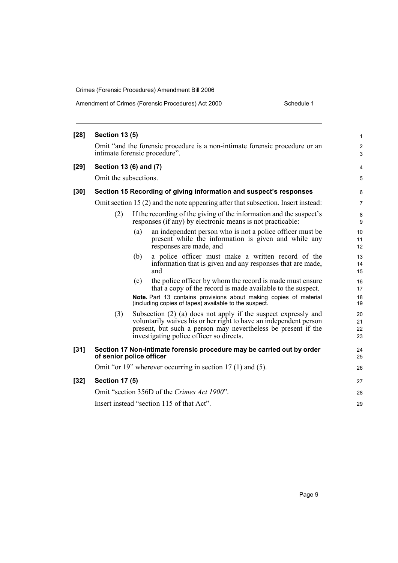| $[28]$ | <b>Section 13 (5)</b>                     |     |                                                                                                                                                                                                                                                        |                            |  |  |
|--------|-------------------------------------------|-----|--------------------------------------------------------------------------------------------------------------------------------------------------------------------------------------------------------------------------------------------------------|----------------------------|--|--|
|        |                                           |     | Omit "and the forensic procedure is a non-intimate forensic procedure or an<br>intimate forensic procedure".                                                                                                                                           | $\overline{2}$<br>3        |  |  |
| $[29]$ | Section 13 (6) and (7)                    |     |                                                                                                                                                                                                                                                        | 4                          |  |  |
|        | Omit the subsections.                     |     |                                                                                                                                                                                                                                                        | 5                          |  |  |
| $[30]$ |                                           |     | Section 15 Recording of giving information and suspect's responses                                                                                                                                                                                     | 6                          |  |  |
|        |                                           |     | Omit section 15 (2) and the note appearing after that subsection. Insert instead:                                                                                                                                                                      | $\overline{7}$             |  |  |
|        | (2)                                       |     | If the recording of the giving of the information and the suspect's<br>responses (if any) by electronic means is not practicable:                                                                                                                      | 8<br>9                     |  |  |
|        |                                           | (a) | an independent person who is not a police officer must be<br>present while the information is given and while any<br>responses are made, and                                                                                                           | 10<br>11<br>12             |  |  |
|        |                                           | (b) | a police officer must make a written record of the<br>information that is given and any responses that are made,<br>and                                                                                                                                | 13<br>14<br>15             |  |  |
|        |                                           | (c) | the police officer by whom the record is made must ensure<br>that a copy of the record is made available to the suspect.<br>Note. Part 13 contains provisions about making copies of material<br>(including copies of tapes) available to the suspect. | 16<br>17<br>18             |  |  |
|        | (3)                                       |     | Subsection (2) (a) does not apply if the suspect expressly and<br>voluntarily waives his or her right to have an independent person<br>present, but such a person may nevertheless be present if the<br>investigating police officer so directs.       | 19<br>20<br>21<br>22<br>23 |  |  |
| $[31]$ | of senior police officer                  |     | Section 17 Non-intimate forensic procedure may be carried out by order                                                                                                                                                                                 | 24<br>25                   |  |  |
|        |                                           |     | Omit "or 19" wherever occurring in section 17 (1) and (5).                                                                                                                                                                                             | 26                         |  |  |
| $[32]$ | <b>Section 17 (5)</b>                     |     |                                                                                                                                                                                                                                                        | 27                         |  |  |
|        |                                           |     | Omit "section 356D of the Crimes Act 1900".                                                                                                                                                                                                            | 28                         |  |  |
|        | Insert instead "section 115 of that Act". |     |                                                                                                                                                                                                                                                        |                            |  |  |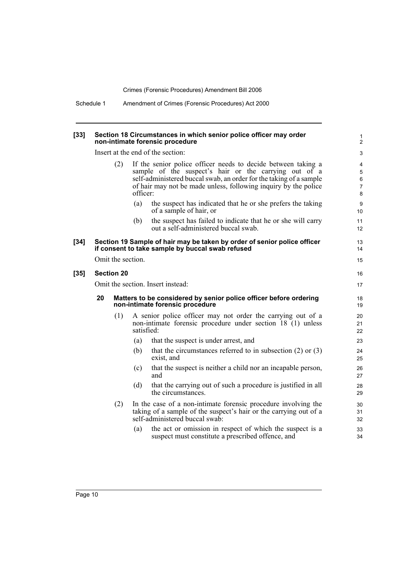Schedule 1 Amendment of Crimes (Forensic Procedures) Act 2000

#### **[33] Section 18 Circumstances in which senior police officer may order non-intimate forensic procedure**

Insert at the end of the section:

|        |                                                                                                                              | (2)               | officer:                                                                                             | If the senior police officer needs to decide between taking a<br>sample of the suspect's hair or the carrying out of a<br>self-administered buccal swab, an order for the taking of a sample<br>of hair may not be made unless, following inquiry by the police | 4<br>$\sqrt{5}$<br>$\,6\,$<br>$\overline{7}$<br>$\bf 8$ |  |  |
|--------|------------------------------------------------------------------------------------------------------------------------------|-------------------|------------------------------------------------------------------------------------------------------|-----------------------------------------------------------------------------------------------------------------------------------------------------------------------------------------------------------------------------------------------------------------|---------------------------------------------------------|--|--|
|        |                                                                                                                              |                   | (a)                                                                                                  | the suspect has indicated that he or she prefers the taking<br>of a sample of hair, or                                                                                                                                                                          | $\boldsymbol{9}$<br>10                                  |  |  |
|        |                                                                                                                              |                   | (b)                                                                                                  | the suspect has failed to indicate that he or she will carry<br>out a self-administered buccal swab.                                                                                                                                                            | 11<br>12                                                |  |  |
| $[34]$ | Section 19 Sample of hair may be taken by order of senior police officer<br>if consent to take sample by buccal swab refused |                   |                                                                                                      |                                                                                                                                                                                                                                                                 |                                                         |  |  |
|        |                                                                                                                              | Omit the section. |                                                                                                      |                                                                                                                                                                                                                                                                 | 15                                                      |  |  |
| $[35]$ | <b>Section 20</b>                                                                                                            |                   |                                                                                                      |                                                                                                                                                                                                                                                                 |                                                         |  |  |
|        | Omit the section. Insert instead:                                                                                            |                   |                                                                                                      |                                                                                                                                                                                                                                                                 |                                                         |  |  |
|        | 20                                                                                                                           |                   | Matters to be considered by senior police officer before ordering<br>non-intimate forensic procedure |                                                                                                                                                                                                                                                                 |                                                         |  |  |
|        |                                                                                                                              | (1)               | satisfied:                                                                                           | A senior police officer may not order the carrying out of a<br>non-intimate forensic procedure under section 18 (1) unless                                                                                                                                      | 20<br>21<br>22                                          |  |  |
|        |                                                                                                                              |                   | (a)                                                                                                  | that the suspect is under arrest, and                                                                                                                                                                                                                           | 23                                                      |  |  |
|        |                                                                                                                              |                   | (b)                                                                                                  | that the circumstances referred to in subsection $(2)$ or $(3)$<br>exist, and                                                                                                                                                                                   | 24<br>25                                                |  |  |
|        |                                                                                                                              |                   | (c)                                                                                                  | that the suspect is neither a child nor an incapable person,<br>and                                                                                                                                                                                             | 26<br>27                                                |  |  |
|        |                                                                                                                              |                   | (d)                                                                                                  | that the carrying out of such a procedure is justified in all<br>the circumstances.                                                                                                                                                                             | 28<br>29                                                |  |  |
|        |                                                                                                                              | (2)               |                                                                                                      | In the case of a non-intimate forensic procedure involving the<br>taking of a sample of the suspect's hair or the carrying out of a<br>self-administered buccal swab:                                                                                           | 30<br>31<br>32                                          |  |  |
|        |                                                                                                                              |                   | (a)                                                                                                  | the act or omission in respect of which the suspect is a<br>suspect must constitute a prescribed offence, and                                                                                                                                                   | 33<br>34                                                |  |  |

1 2 3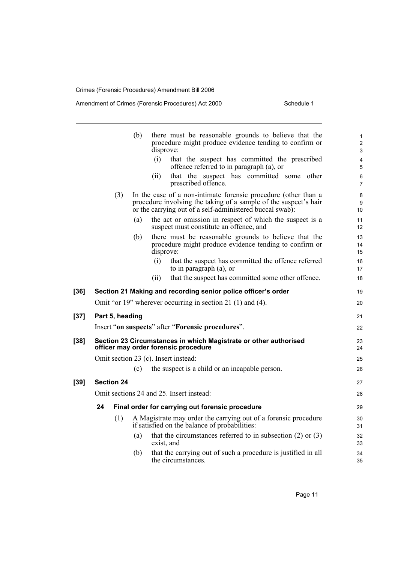|        |    |                   | (b) | disprove:  | there must be reasonable grounds to believe that the<br>procedure might produce evidence tending to confirm or                                                                                 | $\mathbf{1}$<br>$\overline{2}$<br>3 |
|--------|----|-------------------|-----|------------|------------------------------------------------------------------------------------------------------------------------------------------------------------------------------------------------|-------------------------------------|
|        |    |                   |     | (i)        | that the suspect has committed the prescribed<br>offence referred to in paragraph (a), or                                                                                                      | $\overline{4}$<br>5                 |
|        |    |                   |     | (ii)       | that the suspect has committed some other<br>prescribed offence.                                                                                                                               | 6<br>$\overline{7}$                 |
|        |    | (3)               |     |            | In the case of a non-intimate forensic procedure (other than a<br>procedure involving the taking of a sample of the suspect's hair<br>or the carrying out of a self-administered buccal swab): | $\bf 8$<br>9<br>10                  |
|        |    |                   | (a) |            | the act or omission in respect of which the suspect is a<br>suspect must constitute an offence, and                                                                                            | 11<br>12                            |
|        |    |                   | (b) | disprove:  | there must be reasonable grounds to believe that the<br>procedure might produce evidence tending to confirm or                                                                                 | 13<br>14<br>15                      |
|        |    |                   |     | (i)        | that the suspect has committed the offence referred<br>to in paragraph (a), or                                                                                                                 | 16<br>17                            |
|        |    |                   |     | (ii)       | that the suspect has committed some other offence.                                                                                                                                             | 18                                  |
| $[36]$ |    |                   |     |            | Section 21 Making and recording senior police officer's order                                                                                                                                  | 19                                  |
|        |    |                   |     |            | Omit "or 19" wherever occurring in section 21 (1) and (4).                                                                                                                                     | 20                                  |
| $[37]$ |    | Part 5, heading   |     |            |                                                                                                                                                                                                | 21                                  |
|        |    |                   |     |            | Insert "on suspects" after "Forensic procedures".                                                                                                                                              | 22                                  |
| $[38]$ |    |                   |     |            | Section 23 Circumstances in which Magistrate or other authorised<br>officer may order forensic procedure                                                                                       | 23<br>24                            |
|        |    |                   |     |            | Omit section 23 (c). Insert instead:                                                                                                                                                           | 25                                  |
|        |    |                   | (c) |            | the suspect is a child or an incapable person.                                                                                                                                                 | 26                                  |
| $[39]$ |    | <b>Section 24</b> |     |            |                                                                                                                                                                                                | 27                                  |
|        |    |                   |     |            | Omit sections 24 and 25. Insert instead:                                                                                                                                                       | 28                                  |
|        | 24 |                   |     |            | Final order for carrying out forensic procedure                                                                                                                                                | 29                                  |
|        |    | (1)               |     |            | A Magistrate may order the carrying out of a forensic procedure<br>if satisfied on the balance of probabilities:                                                                               | 30<br>31                            |
|        |    |                   | (a) | exist, and | that the circumstances referred to in subsection $(2)$ or $(3)$                                                                                                                                | 32<br>33                            |
|        |    |                   | (b) |            | that the carrying out of such a procedure is justified in all<br>the circumstances.                                                                                                            | 34<br>35                            |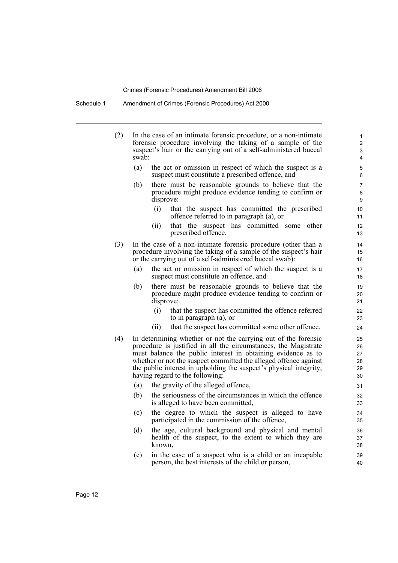Schedule 1 Amendment of Crimes (Forensic Procedures) Act 2000

- (2) In the case of an intimate forensic procedure, or a non-intimate forensic procedure involving the taking of a sample of the suspect's hair or the carrying out of a self-administered buccal swab:
	- (a) the act or omission in respect of which the suspect is a suspect must constitute a prescribed offence, and
	- (b) there must be reasonable grounds to believe that the procedure might produce evidence tending to confirm or disprove:
		- (i) that the suspect has committed the prescribed offence referred to in paragraph (a), or

- (ii) that the suspect has committed some other prescribed offence.
- (3) In the case of a non-intimate forensic procedure (other than a procedure involving the taking of a sample of the suspect's hair or the carrying out of a self-administered buccal swab):
	- (a) the act or omission in respect of which the suspect is a suspect must constitute an offence, and
	- (b) there must be reasonable grounds to believe that the procedure might produce evidence tending to confirm or disprove:
		- (i) that the suspect has committed the offence referred to in paragraph (a), or
		- (ii) that the suspect has committed some other offence.
- (4) In determining whether or not the carrying out of the forensic procedure is justified in all the circumstances, the Magistrate must balance the public interest in obtaining evidence as to whether or not the suspect committed the alleged offence against the public interest in upholding the suspect's physical integrity, having regard to the following:
	- (a) the gravity of the alleged offence,
	- (b) the seriousness of the circumstances in which the offence is alleged to have been committed,
	- (c) the degree to which the suspect is alleged to have participated in the commission of the offence,
	- (d) the age, cultural background and physical and mental health of the suspect, to the extent to which they are known,
	- (e) in the case of a suspect who is a child or an incapable person, the best interests of the child or person,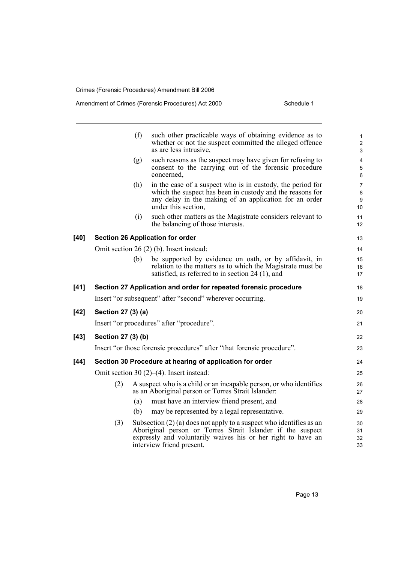[40]

 $[42]$ 

 $[43]$ 

|        |                    | (f) | such other practicable ways of obtaining evidence as to<br>whether or not the suspect committed the alleged offence<br>as are less intrusive,                                                                                    | 1<br>$\overline{c}$<br>3                      |
|--------|--------------------|-----|----------------------------------------------------------------------------------------------------------------------------------------------------------------------------------------------------------------------------------|-----------------------------------------------|
|        |                    | (g) | such reasons as the suspect may have given for refusing to<br>consent to the carrying out of the forensic procedure<br>concerned,                                                                                                | 4<br>5<br>6                                   |
|        |                    | (h) | in the case of a suspect who is in custody, the period for<br>which the suspect has been in custody and the reasons for<br>any delay in the making of an application for an order<br>under this section,                         | $\overline{7}$<br>8<br>$\boldsymbol{9}$<br>10 |
|        |                    | (i) | such other matters as the Magistrate considers relevant to<br>the balancing of those interests.                                                                                                                                  | 11<br>12                                      |
| [40]   |                    |     | <b>Section 26 Application for order</b>                                                                                                                                                                                          | 13                                            |
|        |                    |     | Omit section 26 (2) (b). Insert instead:                                                                                                                                                                                         | 14                                            |
|        |                    | (b) | be supported by evidence on oath, or by affidavit, in<br>relation to the matters as to which the Magistrate must be<br>satisfied, as referred to in section 24 (1), and                                                          | 15<br>16<br>17                                |
| [41]   |                    |     | Section 27 Application and order for repeated forensic procedure                                                                                                                                                                 | 18                                            |
|        |                    |     | Insert "or subsequent" after "second" wherever occurring.                                                                                                                                                                        | 19                                            |
| [42]   | Section 27 (3) (a) |     |                                                                                                                                                                                                                                  | 20                                            |
|        |                    |     | Insert "or procedures" after "procedure".                                                                                                                                                                                        | 21                                            |
| [43]   | Section 27 (3) (b) |     |                                                                                                                                                                                                                                  | 22                                            |
|        |                    |     | Insert "or those forensic procedures" after "that forensic procedure".                                                                                                                                                           | 23                                            |
| $[44]$ |                    |     | Section 30 Procedure at hearing of application for order                                                                                                                                                                         | 24                                            |
|        |                    |     | Omit section 30 $(2)$ – $(4)$ . Insert instead:                                                                                                                                                                                  | 25                                            |
|        | (2)                |     | A suspect who is a child or an incapable person, or who identifies<br>as an Aboriginal person or Torres Strait Islander:                                                                                                         | 26<br>27                                      |
|        |                    | (a) | must have an interview friend present, and                                                                                                                                                                                       | 28                                            |
|        |                    | (b) | may be represented by a legal representative.                                                                                                                                                                                    | 29                                            |
|        | (3)                |     | Subsection $(2)$ (a) does not apply to a suspect who identifies as an<br>Aboriginal person or Torres Strait Islander if the suspect<br>expressly and voluntarily waives his or her right to have an<br>interview friend present. | 30<br>31<br>32<br>33                          |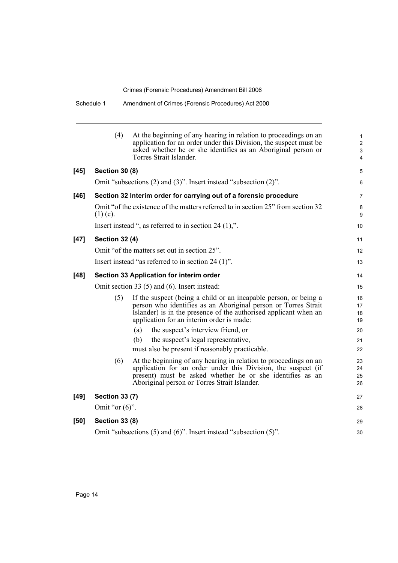Schedule 1 Amendment of Crimes (Forensic Procedures) Act 2000

|      | (4)                   | At the beginning of any hearing in relation to proceedings on an<br>application for an order under this Division, the suspect must be<br>asked whether he or she identifies as an Aboriginal person or<br>Torres Strait Islander.                   | $\mathbf 1$<br>$\overline{c}$<br>$\ensuremath{\mathsf{3}}$<br>4 |
|------|-----------------------|-----------------------------------------------------------------------------------------------------------------------------------------------------------------------------------------------------------------------------------------------------|-----------------------------------------------------------------|
| [45] | <b>Section 30 (8)</b> |                                                                                                                                                                                                                                                     | 5                                                               |
|      |                       | Omit "subsections (2) and (3)". Insert instead "subsection (2)".                                                                                                                                                                                    | 6                                                               |
| [46] |                       | Section 32 Interim order for carrying out of a forensic procedure                                                                                                                                                                                   | 7                                                               |
|      | $(1)$ (c).            | Omit "of the existence of the matters referred to in section 25" from section 32                                                                                                                                                                    | 8<br>9                                                          |
|      |                       | Insert instead ", as referred to in section 24 $(1)$ ,".                                                                                                                                                                                            | 10                                                              |
| [47] | <b>Section 32 (4)</b> |                                                                                                                                                                                                                                                     | 11                                                              |
|      |                       | Omit "of the matters set out in section 25".                                                                                                                                                                                                        | 12                                                              |
|      |                       | Insert instead "as referred to in section $24 (1)$ ".                                                                                                                                                                                               | 13                                                              |
| [48] |                       | Section 33 Application for interim order                                                                                                                                                                                                            | 14                                                              |
|      |                       | Omit section 33 (5) and (6). Insert instead:                                                                                                                                                                                                        | 15                                                              |
|      | (5)                   | If the suspect (being a child or an incapable person, or being a<br>person who identifies as an Aboriginal person or Torres Strait<br>Islander) is in the presence of the authorised applicant when an<br>application for an interim order is made: | 16<br>17<br>18<br>19                                            |
|      |                       | the suspect's interview friend, or<br>(a)                                                                                                                                                                                                           | 20                                                              |
|      |                       | the suspect's legal representative,<br>(b)                                                                                                                                                                                                          | 21                                                              |
|      |                       | must also be present if reasonably practicable.                                                                                                                                                                                                     | 22                                                              |
|      | (6)                   | At the beginning of any hearing in relation to proceedings on an<br>application for an order under this Division, the suspect (if<br>present) must be asked whether he or she identifies as an<br>Aboriginal person or Torres Strait Islander.      | 23<br>24<br>25<br>26                                            |
| [49] | <b>Section 33 (7)</b> |                                                                                                                                                                                                                                                     | 27                                                              |
|      | Omit "or $(6)$ ".     |                                                                                                                                                                                                                                                     | 28                                                              |
| [50] | <b>Section 33 (8)</b> |                                                                                                                                                                                                                                                     | 29                                                              |
|      |                       | Omit "subsections $(5)$ and $(6)$ ". Insert instead "subsection $(5)$ ".                                                                                                                                                                            | 30                                                              |
|      |                       |                                                                                                                                                                                                                                                     |                                                                 |

Page 14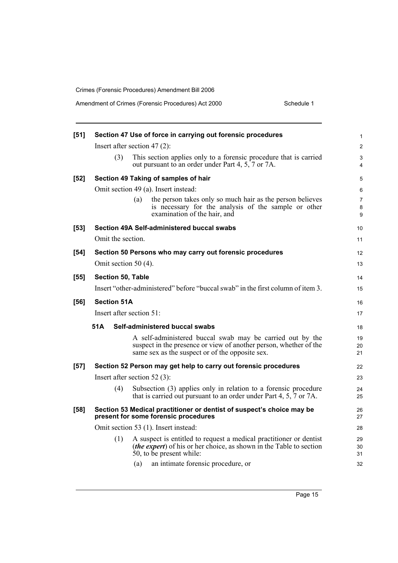| $[51]$ | Section 47 Use of force in carrying out forensic procedures                                                                                                                         | $\mathbf{1}$        |
|--------|-------------------------------------------------------------------------------------------------------------------------------------------------------------------------------------|---------------------|
|        | Insert after section 47 $(2)$ :                                                                                                                                                     | 2                   |
|        | This section applies only to a forensic procedure that is carried<br>(3)<br>out pursuant to an order under Part 4, 5, 7 or 7A.                                                      | 3<br>$\overline{4}$ |
| $[52]$ | Section 49 Taking of samples of hair                                                                                                                                                | 5                   |
|        | Omit section 49 (a). Insert instead:                                                                                                                                                | 6                   |
|        | the person takes only so much hair as the person believes<br>(a)<br>is necessary for the analysis of the sample or other<br>examination of the hair, and                            | 7<br>8<br>9         |
| [53]   | Section 49A Self-administered buccal swabs                                                                                                                                          | 10                  |
|        | Omit the section.                                                                                                                                                                   | 11                  |
| $[54]$ | Section 50 Persons who may carry out forensic procedures                                                                                                                            | 12                  |
|        | Omit section 50 (4).                                                                                                                                                                | 13                  |
| [55]   | Section 50, Table                                                                                                                                                                   | 14                  |
|        | Insert "other-administered" before "buccal swab" in the first column of item 3.                                                                                                     | 15                  |
| $[56]$ | <b>Section 51A</b>                                                                                                                                                                  | 16                  |
|        | Insert after section 51:                                                                                                                                                            | 17                  |
|        | 51 A<br>Self-administered buccal swabs                                                                                                                                              | 18                  |
|        | A self-administered buccal swab may be carried out by the<br>suspect in the presence or view of another person, whether of the<br>same sex as the suspect or of the opposite sex.   | 19<br>20<br>21      |
| $[57]$ | Section 52 Person may get help to carry out forensic procedures                                                                                                                     | 22                  |
|        | Insert after section $52(3)$ :                                                                                                                                                      | 23                  |
|        | Subsection (3) applies only in relation to a forensic procedure<br>(4)<br>that is carried out pursuant to an order under Part 4, 5, 7 or 7A.                                        | 24<br>25            |
| [58]   | Section 53 Medical practitioner or dentist of suspect's choice may be<br>present for some forensic procedures                                                                       | 26<br>27            |
|        | Omit section 53 (1). Insert instead:                                                                                                                                                | 28                  |
|        | (1)<br>A suspect is entitled to request a medical practitioner or dentist<br><i>(the expert)</i> of his or her choice, as shown in the Table to section<br>50, to be present while: | 29<br>30<br>31      |
|        | an intimate forensic procedure, or<br>(a)                                                                                                                                           | 32                  |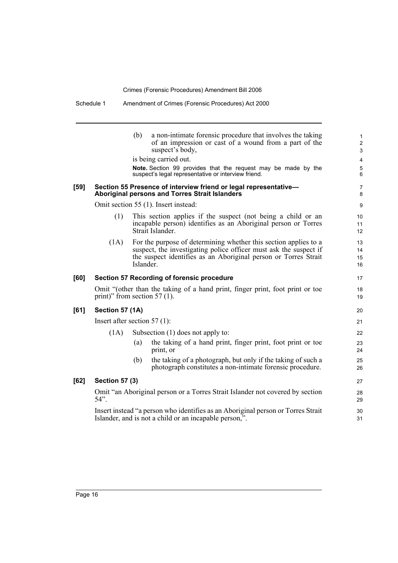|      |                                 | (b)       | a non-intimate forensic procedure that involves the taking<br>of an impression or cast of a wound from a part of the<br>suspect's body,<br>is being carried out.<br>Note. Section 99 provides that the request may be made by the<br>suspect's legal representative or interview friend. | $\mathbf{1}$<br>$\overline{2}$<br>$\mathbf{3}$<br>4<br>$\mathbf 5$<br>$\,6\,$ |
|------|---------------------------------|-----------|------------------------------------------------------------------------------------------------------------------------------------------------------------------------------------------------------------------------------------------------------------------------------------------|-------------------------------------------------------------------------------|
| [59] |                                 |           | Section 55 Presence of interview friend or legal representative-<br>Aboriginal persons and Torres Strait Islanders                                                                                                                                                                       | 7<br>8                                                                        |
|      |                                 |           | Omit section 55 (1). Insert instead:                                                                                                                                                                                                                                                     | 9                                                                             |
|      | (1)                             |           | This section applies if the suspect (not being a child or an<br>incapable person) identifies as an Aboriginal person or Torres<br>Strait Islander.                                                                                                                                       | 10<br>11<br>12                                                                |
|      | (1A)                            | Islander. | For the purpose of determining whether this section applies to a<br>suspect, the investigating police officer must ask the suspect if<br>the suspect identifies as an Aboriginal person or Torres Strait                                                                                 | 13<br>14<br>15<br>16                                                          |
| [60] |                                 |           | <b>Section 57 Recording of forensic procedure</b>                                                                                                                                                                                                                                        | 17                                                                            |
|      | print)" from section $57(1)$ .  |           | Omit "(other than the taking of a hand print, finger print, foot print or toe                                                                                                                                                                                                            | 18<br>19                                                                      |
| [61] | Section 57 (1A)                 |           |                                                                                                                                                                                                                                                                                          | 20                                                                            |
|      | Insert after section 57 $(1)$ : |           |                                                                                                                                                                                                                                                                                          | 21                                                                            |
|      | (1A)                            |           | Subsection $(1)$ does not apply to:                                                                                                                                                                                                                                                      | 22                                                                            |
|      |                                 | (a)       | the taking of a hand print, finger print, foot print or toe<br>print, or                                                                                                                                                                                                                 | 23<br>24                                                                      |
|      |                                 | (b)       | the taking of a photograph, but only if the taking of such a<br>photograph constitutes a non-intimate forensic procedure.                                                                                                                                                                | 25<br>26                                                                      |
| [62] | <b>Section 57 (3)</b>           |           |                                                                                                                                                                                                                                                                                          | 27                                                                            |
|      | 54".                            |           | Omit "an Aboriginal person or a Torres Strait Islander not covered by section                                                                                                                                                                                                            | 28<br>29                                                                      |
|      |                                 |           | Insert instead "a person who identifies as an Aboriginal person or Torres Strait<br>Islander, and is not a child or an incapable person,".                                                                                                                                               | 30<br>31                                                                      |
|      |                                 |           |                                                                                                                                                                                                                                                                                          |                                                                               |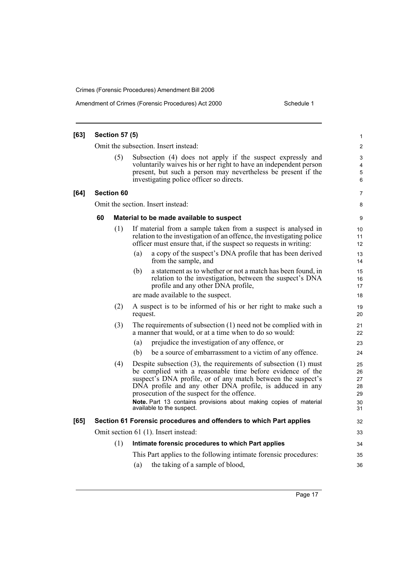| [63] | <b>Section 57 (5)</b> |                   |          |                                                                                                                                                                                                                                                                                                                                                                                                                |                                        |
|------|-----------------------|-------------------|----------|----------------------------------------------------------------------------------------------------------------------------------------------------------------------------------------------------------------------------------------------------------------------------------------------------------------------------------------------------------------------------------------------------------------|----------------------------------------|
|      |                       |                   |          | Omit the subsection. Insert instead:                                                                                                                                                                                                                                                                                                                                                                           | $\overline{2}$                         |
|      |                       | (5)               |          | Subsection (4) does not apply if the suspect expressly and<br>voluntarily waives his or her right to have an independent person<br>present, but such a person may nevertheless be present if the<br>investigating police officer so directs.                                                                                                                                                                   | 3<br>4<br>5<br>6                       |
| [64] |                       | <b>Section 60</b> |          |                                                                                                                                                                                                                                                                                                                                                                                                                | 7                                      |
|      |                       |                   |          | Omit the section. Insert instead:                                                                                                                                                                                                                                                                                                                                                                              | 8                                      |
|      | 60                    |                   |          | Material to be made available to suspect                                                                                                                                                                                                                                                                                                                                                                       | 9                                      |
|      |                       | (1)               |          | If material from a sample taken from a suspect is analysed in<br>relation to the investigation of an offence, the investigating police<br>officer must ensure that, if the suspect so requests in writing:                                                                                                                                                                                                     | 10<br>11<br>12                         |
|      |                       |                   | (a)      | a copy of the suspect's DNA profile that has been derived<br>from the sample, and                                                                                                                                                                                                                                                                                                                              | 13<br>14                               |
|      |                       |                   | (b)      | a statement as to whether or not a match has been found, in<br>relation to the investigation, between the suspect's DNA<br>profile and any other DNA profile,                                                                                                                                                                                                                                                  | 15<br>16<br>17                         |
|      |                       |                   |          | are made available to the suspect.                                                                                                                                                                                                                                                                                                                                                                             | 18                                     |
|      |                       | (2)               | request. | A suspect is to be informed of his or her right to make such a                                                                                                                                                                                                                                                                                                                                                 | 19<br>20                               |
|      |                       | (3)               |          | The requirements of subsection $(1)$ need not be complied with in<br>a manner that would, or at a time when to do so would:                                                                                                                                                                                                                                                                                    | 21<br>22                               |
|      |                       |                   | (a)      | prejudice the investigation of any offence, or                                                                                                                                                                                                                                                                                                                                                                 | 23                                     |
|      |                       |                   | (b)      | be a source of embarrassment to a victim of any offence.                                                                                                                                                                                                                                                                                                                                                       | 24                                     |
|      |                       | (4)               |          | Despite subsection $(3)$ , the requirements of subsection $(1)$ must<br>be complied with a reasonable time before evidence of the<br>suspect's DNA profile, or of any match between the suspect's<br>DNA profile and any other DNA profile, is adduced in any<br>prosecution of the suspect for the offence.<br>Note. Part 13 contains provisions about making copies of material<br>available to the suspect. | 25<br>26<br>27<br>28<br>29<br>30<br>31 |
| [65] |                       |                   |          | Section 61 Forensic procedures and offenders to which Part applies                                                                                                                                                                                                                                                                                                                                             | 32                                     |
|      |                       |                   |          | Omit section 61 (1). Insert instead:                                                                                                                                                                                                                                                                                                                                                                           | 33                                     |
|      |                       | (1)               |          | Intimate forensic procedures to which Part applies                                                                                                                                                                                                                                                                                                                                                             | 34                                     |
|      |                       |                   |          | This Part applies to the following intimate forensic procedures:                                                                                                                                                                                                                                                                                                                                               | 35                                     |
|      |                       |                   | (a)      | the taking of a sample of blood,                                                                                                                                                                                                                                                                                                                                                                               | 36                                     |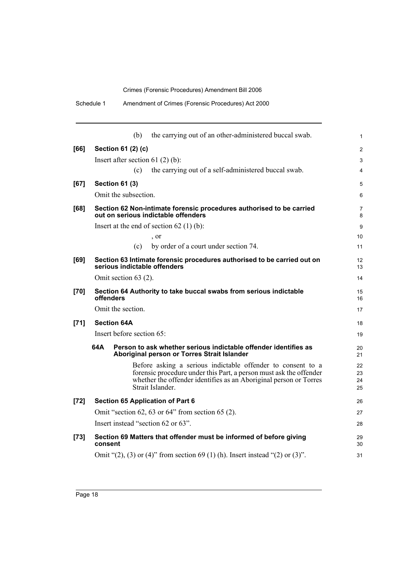| Schedule 1 | Amendment of Crimes (Forensic Procedures) Act 2000 |
|------------|----------------------------------------------------|
|            |                                                    |

|        | the carrying out of an other-administered buccal swab.<br>(b)                                                                                                                                                              | 1                    |
|--------|----------------------------------------------------------------------------------------------------------------------------------------------------------------------------------------------------------------------------|----------------------|
| [66]   | Section 61 (2) (c)                                                                                                                                                                                                         | $\overline{2}$       |
|        | Insert after section 61 $(2)$ $(b)$ :                                                                                                                                                                                      | 3                    |
|        | the carrying out of a self-administered buccal swab.<br>(c)                                                                                                                                                                | 4                    |
| [67]   | <b>Section 61 (3)</b>                                                                                                                                                                                                      | 5                    |
|        | Omit the subsection.                                                                                                                                                                                                       | 6                    |
| [68]   | Section 62 Non-intimate forensic procedures authorised to be carried<br>out on serious indictable offenders                                                                                                                | 7<br>8               |
|        | Insert at the end of section $62(1)(b)$ :                                                                                                                                                                                  | 9                    |
|        | $\cdot$ or                                                                                                                                                                                                                 | 10                   |
|        | by order of a court under section 74.<br>(c)                                                                                                                                                                               | 11                   |
| [69]   | Section 63 Intimate forensic procedures authorised to be carried out on<br>serious indictable offenders                                                                                                                    | 12<br>13             |
|        | Omit section 63 (2).                                                                                                                                                                                                       | 14                   |
| $[70]$ | Section 64 Authority to take buccal swabs from serious indictable<br>offenders                                                                                                                                             | 15<br>16             |
|        | Omit the section.                                                                                                                                                                                                          | 17                   |
| $[71]$ | <b>Section 64A</b>                                                                                                                                                                                                         | 18                   |
|        | Insert before section 65:                                                                                                                                                                                                  | 19                   |
|        | 64A<br>Person to ask whether serious indictable offender identifies as<br>Aboriginal person or Torres Strait Islander                                                                                                      | 20<br>21             |
|        | Before asking a serious indictable offender to consent to a<br>forensic procedure under this Part, a person must ask the offender<br>whether the offender identifies as an Aboriginal person or Torres<br>Strait Islander. | 22<br>23<br>24<br>25 |
| $[72]$ | <b>Section 65 Application of Part 6</b>                                                                                                                                                                                    | 26                   |
|        | Omit "section 62, 63 or 64" from section 65 $(2)$ .                                                                                                                                                                        | 27                   |
|        | Insert instead "section 62 or 63".                                                                                                                                                                                         | 28                   |
| $[73]$ | Section 69 Matters that offender must be informed of before giving<br>consent                                                                                                                                              | 29<br>30             |
|        | Omit "(2), (3) or (4)" from section 69 (1) (h). Insert instead "(2) or (3)".                                                                                                                                               | 31                   |
|        |                                                                                                                                                                                                                            |                      |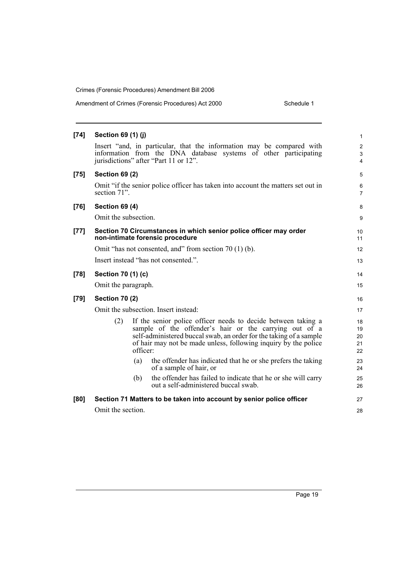| Amendment of Crimes (Forensic Procedures) Act 2000 | Schedule 1 |
|----------------------------------------------------|------------|
|----------------------------------------------------|------------|

| $[74]$ | Section 69 (1) (j)    |          |                                                                                                                                                                                                                                                                  | 1                                  |
|--------|-----------------------|----------|------------------------------------------------------------------------------------------------------------------------------------------------------------------------------------------------------------------------------------------------------------------|------------------------------------|
|        |                       |          | Insert "and, in particular, that the information may be compared with<br>information from the DNA database systems of other participating<br>jurisdictions" after "Part 11 or 12".                                                                               | $\overline{c}$<br>$\mathsf 3$<br>4 |
| $[75]$ | <b>Section 69 (2)</b> |          |                                                                                                                                                                                                                                                                  | 5                                  |
|        | section 71".          |          | Omit "if the senior police officer has taken into account the matters set out in                                                                                                                                                                                 | 6<br>$\overline{7}$                |
| $[76]$ | <b>Section 69 (4)</b> |          |                                                                                                                                                                                                                                                                  | 8                                  |
|        | Omit the subsection.  |          |                                                                                                                                                                                                                                                                  | 9                                  |
| $[77]$ |                       |          | Section 70 Circumstances in which senior police officer may order<br>non-intimate forensic procedure                                                                                                                                                             | 10<br>11                           |
|        |                       |          | Omit "has not consented, and" from section 70 (1) (b).                                                                                                                                                                                                           | 12                                 |
|        |                       |          | Insert instead "has not consented.".                                                                                                                                                                                                                             | 13                                 |
| $[78]$ | Section 70 (1) (c)    |          |                                                                                                                                                                                                                                                                  | 14                                 |
|        | Omit the paragraph.   |          |                                                                                                                                                                                                                                                                  | 15                                 |
| $[79]$ | <b>Section 70 (2)</b> |          |                                                                                                                                                                                                                                                                  | 16                                 |
|        |                       |          | Omit the subsection. Insert instead:                                                                                                                                                                                                                             | 17                                 |
|        | (2)                   | officer: | If the senior police officer needs to decide between taking a<br>sample of the offender's hair or the carrying out of a<br>self-administered buccal swab, an order for the taking of a sample<br>of hair may not be made unless, following inquiry by the police | 18<br>19<br>20<br>21<br>22         |
|        |                       | (a)      | the offender has indicated that he or she prefers the taking<br>of a sample of hair, or                                                                                                                                                                          | 23<br>24                           |
|        |                       | (b)      | the offender has failed to indicate that he or she will carry<br>out a self-administered buccal swab.                                                                                                                                                            | 25<br>26                           |
| [80]   |                       |          | Section 71 Matters to be taken into account by senior police officer                                                                                                                                                                                             | 27                                 |
|        | Omit the section.     |          |                                                                                                                                                                                                                                                                  | 28                                 |
|        |                       |          |                                                                                                                                                                                                                                                                  |                                    |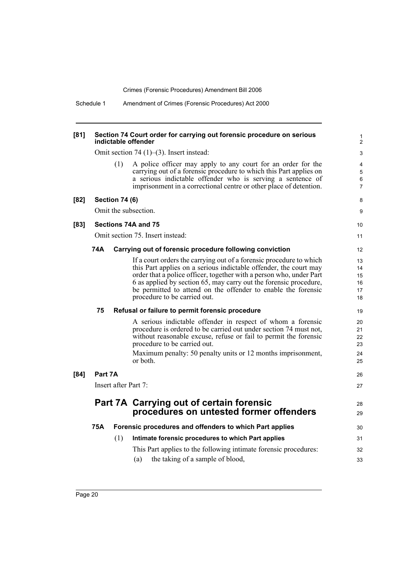| [81]   |         |                       | Section 74 Court order for carrying out forensic procedure on serious<br>indictable offender                                                                                                                                                                                                                                                                                          | 1<br>$\overline{2}$              |
|--------|---------|-----------------------|---------------------------------------------------------------------------------------------------------------------------------------------------------------------------------------------------------------------------------------------------------------------------------------------------------------------------------------------------------------------------------------|----------------------------------|
|        |         |                       | Omit section 74 $(1)$ – $(3)$ . Insert instead:                                                                                                                                                                                                                                                                                                                                       | 3                                |
|        |         | (1)                   | A police officer may apply to any court for an order for the<br>carrying out of a forensic procedure to which this Part applies on<br>a serious indictable offender who is serving a sentence of<br>imprisonment in a correctional centre or other place of detention.                                                                                                                | 4<br>5<br>6<br>$\overline{7}$    |
| [82]   |         | <b>Section 74 (6)</b> |                                                                                                                                                                                                                                                                                                                                                                                       | 8                                |
|        |         |                       | Omit the subsection.                                                                                                                                                                                                                                                                                                                                                                  | 9                                |
| $[83]$ |         |                       | Sections 74A and 75                                                                                                                                                                                                                                                                                                                                                                   | 10                               |
|        |         |                       | Omit section 75. Insert instead:                                                                                                                                                                                                                                                                                                                                                      | 11                               |
|        | 74A     |                       | Carrying out of forensic procedure following conviction                                                                                                                                                                                                                                                                                                                               | 12                               |
|        |         |                       | If a court orders the carrying out of a forensic procedure to which<br>this Part applies on a serious indictable offender, the court may<br>order that a police officer, together with a person who, under Part<br>6 as applied by section 65, may carry out the forensic procedure,<br>be permitted to attend on the offender to enable the forensic<br>procedure to be carried out. | 13<br>14<br>15<br>16<br>17<br>18 |
|        | 75      |                       | Refusal or failure to permit forensic procedure                                                                                                                                                                                                                                                                                                                                       | 19                               |
|        |         |                       | A serious indictable offender in respect of whom a forensic<br>procedure is ordered to be carried out under section 74 must not,<br>without reasonable excuse, refuse or fail to permit the forensic<br>procedure to be carried out.<br>Maximum penalty: 50 penalty units or 12 months imprisonment,<br>or both.                                                                      | 20<br>21<br>22<br>23<br>24<br>25 |
| [84]   | Part 7A |                       |                                                                                                                                                                                                                                                                                                                                                                                       | 26                               |
|        |         | Insert after Part 7:  |                                                                                                                                                                                                                                                                                                                                                                                       | 27                               |
|        |         |                       | Part 7A Carrying out of certain forensic<br>procedures on untested former offenders                                                                                                                                                                                                                                                                                                   | 28<br>29                         |
|        | 75A     |                       | Forensic procedures and offenders to which Part applies                                                                                                                                                                                                                                                                                                                               | 30                               |
|        |         | (1)                   | Intimate forensic procedures to which Part applies                                                                                                                                                                                                                                                                                                                                    | 31                               |
|        |         |                       | This Part applies to the following intimate forensic procedures:<br>the taking of a sample of blood,<br>(a)                                                                                                                                                                                                                                                                           | 32<br>33                         |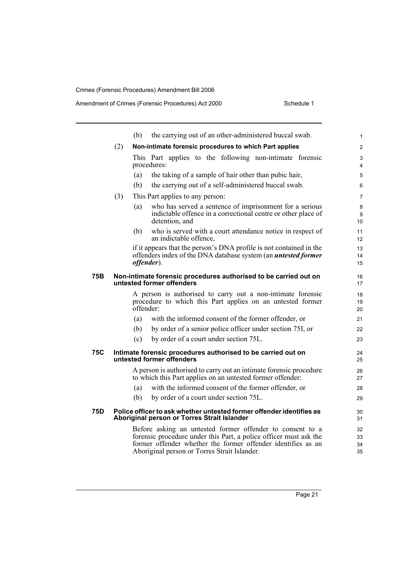| Amendment of Crimes (Forensic Procedures) Act 2000 | Schedule 1 |
|----------------------------------------------------|------------|
|----------------------------------------------------|------------|

|            |     | (b)<br>the carrying out of an other-administered buccal swab.                                                                                                                                                                                  | 1                    |  |  |  |
|------------|-----|------------------------------------------------------------------------------------------------------------------------------------------------------------------------------------------------------------------------------------------------|----------------------|--|--|--|
|            | (2) | Non-intimate forensic procedures to which Part applies                                                                                                                                                                                         |                      |  |  |  |
|            |     | This Part applies to the following non-intimate forensic<br>procedures:                                                                                                                                                                        | 3<br>$\overline{4}$  |  |  |  |
|            |     | the taking of a sample of hair other than pubic hair,<br>(a)                                                                                                                                                                                   | 5                    |  |  |  |
|            |     | the carrying out of a self-administered buccal swab.<br>(b)                                                                                                                                                                                    | 6                    |  |  |  |
|            | (3) | This Part applies to any person:                                                                                                                                                                                                               | $\overline{7}$       |  |  |  |
|            |     | who has served a sentence of imprisonment for a serious<br>(a)<br>indictable offence in a correctional centre or other place of<br>detention, and                                                                                              | 8<br>9<br>10         |  |  |  |
|            |     | who is served with a court attendance notice in respect of<br>(b)<br>an indictable offence,                                                                                                                                                    | 11<br>12             |  |  |  |
|            |     | if it appears that the person's DNA profile is not contained in the<br>offenders index of the DNA database system (an <i>untested former</i><br>offender).                                                                                     | 13<br>14<br>15       |  |  |  |
| 75B        |     | Non-intimate forensic procedures authorised to be carried out on<br>untested former offenders                                                                                                                                                  | 16<br>17             |  |  |  |
|            |     | A person is authorised to carry out a non-intimate forensic<br>procedure to which this Part applies on an untested former<br>offender:                                                                                                         | 18<br>19<br>20       |  |  |  |
|            |     | with the informed consent of the former offender, or<br>(a)                                                                                                                                                                                    | 21                   |  |  |  |
|            |     | by order of a senior police officer under section 75I, or<br>(b)                                                                                                                                                                               | 22                   |  |  |  |
|            |     | by order of a court under section 75L.<br>(c)                                                                                                                                                                                                  | 23                   |  |  |  |
| <b>75C</b> |     | Intimate forensic procedures authorised to be carried out on<br>untested former offenders                                                                                                                                                      | 24<br>25             |  |  |  |
|            |     | A person is authorised to carry out an intimate forensic procedure<br>to which this Part applies on an untested former offender:                                                                                                               | 26<br>27             |  |  |  |
|            |     | with the informed consent of the former offender, or<br>(a)                                                                                                                                                                                    | 28                   |  |  |  |
|            |     | (b)<br>by order of a court under section 75L.                                                                                                                                                                                                  | 29                   |  |  |  |
| 75D        |     | Police officer to ask whether untested former offender identifies as<br>Aboriginal person or Torres Strait Islander                                                                                                                            | 30<br>31             |  |  |  |
|            |     | Before asking an untested former offender to consent to a<br>forensic procedure under this Part, a police officer must ask the<br>former offender whether the former offender identifies as an<br>Aboriginal person or Torres Strait Islander. | 32<br>33<br>34<br>35 |  |  |  |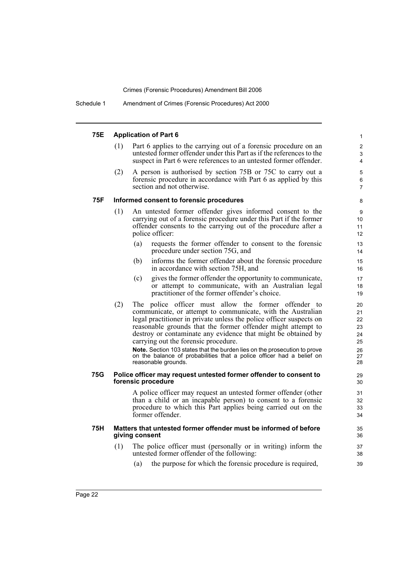# **75E Application of Part 6**

(1) Part 6 applies to the carrying out of a forensic procedure on an untested former offender under this Part as if the references to the suspect in Part 6 were references to an untested former offender.

(2) A person is authorised by section 75B or 75C to carry out a forensic procedure in accordance with Part 6 as applied by this section and not otherwise.

#### **75F Informed consent to forensic procedures**

- (1) An untested former offender gives informed consent to the carrying out of a forensic procedure under this Part if the former offender consents to the carrying out of the procedure after a police officer:
	- (a) requests the former offender to consent to the forensic procedure under section 75G, and
	- (b) informs the former offender about the forensic procedure in accordance with section 75H, and
	- (c) gives the former offender the opportunity to communicate, or attempt to communicate, with an Australian legal practitioner of the former offender's choice.
- (2) The police officer must allow the former offender to communicate, or attempt to communicate, with the Australian legal practitioner in private unless the police officer suspects on reasonable grounds that the former offender might attempt to destroy or contaminate any evidence that might be obtained by carrying out the forensic procedure.

**Note.** Section 103 states that the burden lies on the prosecution to prove on the balance of probabilities that a police officer had a belief on reasonable grounds.

#### **75G Police officer may request untested former offender to consent to forensic procedure**

A police officer may request an untested former offender (other than a child or an incapable person) to consent to a forensic procedure to which this Part applies being carried out on the former offender.

### **75H Matters that untested former offender must be informed of before giving consent**

- (1) The police officer must (personally or in writing) inform the untested former offender of the following:
	- (a) the purpose for which the forensic procedure is required,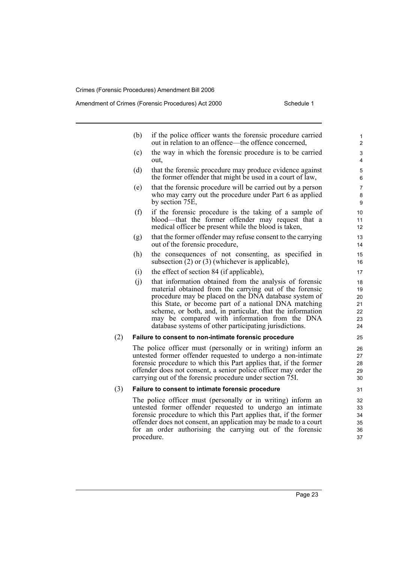Amendment of Crimes (Forensic Procedures) Act 2000 Schedule 1

procedure.

|     | (b) | if the police officer wants the forensic procedure carried<br>out in relation to an offence—the offence concerned,                                                  | 1<br>$\overline{2}$ |
|-----|-----|---------------------------------------------------------------------------------------------------------------------------------------------------------------------|---------------------|
|     | (c) | the way in which the forensic procedure is to be carried<br>out,                                                                                                    | 3<br>4              |
|     | (d) | that the forensic procedure may produce evidence against<br>the former offender that might be used in a court of law,                                               | 5<br>6              |
|     | (e) | that the forensic procedure will be carried out by a person<br>who may carry out the procedure under Part 6 as applied<br>by section 75E,                           | 7<br>8<br>9         |
|     | (f) | if the forensic procedure is the taking of a sample of<br>blood—that the former offender may request that a<br>medical officer be present while the blood is taken, | 10<br>11<br>12      |
|     | (g) | that the former offender may refuse consent to the carrying<br>out of the forensic procedure,                                                                       | 13<br>14            |
|     | (h) | the consequences of not consenting, as specified in<br>subsection $(2)$ or $(3)$ (whichever is applicable),                                                         | 15<br>16            |
|     | (i) | the effect of section 84 (if applicable),                                                                                                                           | 17                  |
|     | (i) | that information obtained from the analysis of forensic<br>material obtained from the carrying out of the forensic                                                  | 18<br>19            |
|     |     | procedure may be placed on the DNA database system of                                                                                                               | 20                  |
|     |     | this State, or become part of a national DNA matching                                                                                                               | 21                  |
|     |     | scheme, or both, and, in particular, that the information                                                                                                           | 22                  |
|     |     | may be compared with information from the DNA<br>database systems of other participating jurisdictions.                                                             | 23<br>24            |
| (2) |     | Failure to consent to non-intimate forensic procedure                                                                                                               | 25                  |
|     |     | The police officer must (personally or in writing) inform an                                                                                                        | 26                  |
|     |     | untested former offender requested to undergo a non-intimate                                                                                                        | 27                  |
|     |     | forensic procedure to which this Part applies that, if the former                                                                                                   | 28                  |
|     |     | offender does not consent, a senior police officer may order the                                                                                                    | 29                  |
|     |     | carrying out of the forensic procedure under section 75I.                                                                                                           | 30                  |
| (3) |     | Failure to consent to intimate forensic procedure                                                                                                                   | 31                  |
|     |     | The police officer must (personally or in writing) inform an                                                                                                        | 32                  |
|     |     | untested former offender requested to undergo an intimate                                                                                                           | 33                  |
|     |     | forensic procedure to which this Part applies that, if the former                                                                                                   | 34                  |
|     |     | offender does not consent, an application may be made to a court                                                                                                    | 35                  |

for an order authorising the carrying out of the forensic

Page 23

36 37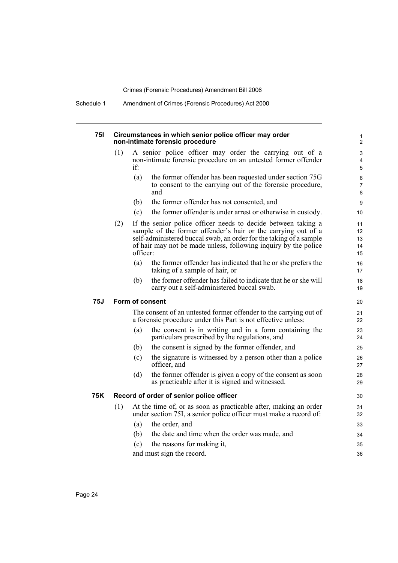Schedule 1 Amendment of Crimes (Forensic Procedures) Act 2000

#### **75I Circumstances in which senior police officer may order non-intimate forensic procedure**

|     |  |  |  | (1) A senior police officer may order the carrying out of a    |  |
|-----|--|--|--|----------------------------------------------------------------|--|
|     |  |  |  | non-intimate forensic procedure on an untested former offender |  |
| if: |  |  |  |                                                                |  |

(a) the former offender has been requested under section 75G to consent to the carrying out of the forensic procedure, and

- (b) the former offender has not consented, and
- (c) the former offender is under arrest or otherwise in custody.
- (2) If the senior police officer needs to decide between taking a sample of the former offender's hair or the carrying out of a self-administered buccal swab, an order for the taking of a sample of hair may not be made unless, following inquiry by the police officer:
	- (a) the former offender has indicated that he or she prefers the taking of a sample of hair, or
	- (b) the former offender has failed to indicate that he or she will carry out a self-administered buccal swab.

### **75J Form of consent**

The consent of an untested former offender to the carrying out of a forensic procedure under this Part is not effective unless:

- (a) the consent is in writing and in a form containing the particulars prescribed by the regulations, and
- (b) the consent is signed by the former offender, and
- (c) the signature is witnessed by a person other than a police officer, and
- (d) the former offender is given a copy of the consent as soon as practicable after it is signed and witnessed.

### **75K Record of order of senior police officer**

- (1) At the time of, or as soon as practicable after, making an order under section 75I, a senior police officer must make a record of:
	- (a) the order, and (b) the date and time when the order was made, and
	- (c) the reasons for making it,

and must sign the record.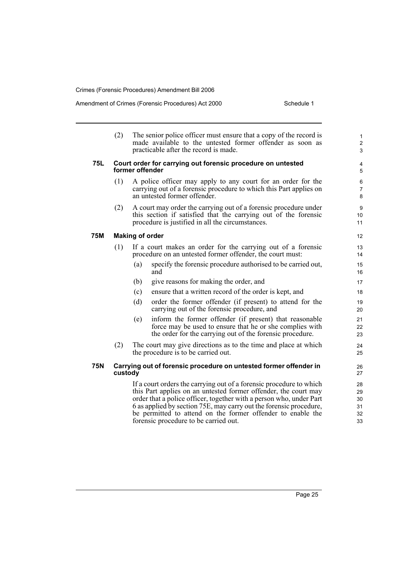# Amendment of Crimes (Forensic Procedures) Act 2000 Schedule 1

|            | (2)     |                        | The senior police officer must ensure that a copy of the record is<br>made available to the untested former offender as soon as<br>practicable after the record is made.                                                                                                                                                                                                                    | 1<br>$\overline{2}$<br>3         |
|------------|---------|------------------------|---------------------------------------------------------------------------------------------------------------------------------------------------------------------------------------------------------------------------------------------------------------------------------------------------------------------------------------------------------------------------------------------|----------------------------------|
| <b>75L</b> |         | former offender        | Court order for carrying out forensic procedure on untested                                                                                                                                                                                                                                                                                                                                 | 4<br>5                           |
|            | (1)     |                        | A police officer may apply to any court for an order for the<br>carrying out of a forensic procedure to which this Part applies on<br>an untested former offender.                                                                                                                                                                                                                          | 6<br>$\overline{7}$<br>8         |
|            | (2)     |                        | A court may order the carrying out of a forensic procedure under<br>this section if satisfied that the carrying out of the forensic<br>procedure is justified in all the circumstances.                                                                                                                                                                                                     | $\boldsymbol{9}$<br>10<br>11     |
| 75M        |         | <b>Making of order</b> |                                                                                                                                                                                                                                                                                                                                                                                             | 12 <sup>2</sup>                  |
|            | (1)     |                        | If a court makes an order for the carrying out of a forensic<br>procedure on an untested former offender, the court must:                                                                                                                                                                                                                                                                   | 13<br>14                         |
|            |         | (a)                    | specify the forensic procedure authorised to be carried out,<br>and                                                                                                                                                                                                                                                                                                                         | 15<br>16                         |
|            |         | (b)                    | give reasons for making the order, and                                                                                                                                                                                                                                                                                                                                                      | 17                               |
|            |         | (c)                    | ensure that a written record of the order is kept, and                                                                                                                                                                                                                                                                                                                                      | 18                               |
|            |         | (d)                    | order the former offender (if present) to attend for the<br>carrying out of the forensic procedure, and                                                                                                                                                                                                                                                                                     | 19<br>20                         |
|            |         | (e)                    | inform the former offender (if present) that reasonable<br>force may be used to ensure that he or she complies with<br>the order for the carrying out of the forensic procedure.                                                                                                                                                                                                            | 21<br>22<br>23                   |
|            | (2)     |                        | The court may give directions as to the time and place at which<br>the procedure is to be carried out.                                                                                                                                                                                                                                                                                      | 24<br>25                         |
| <b>75N</b> | custody |                        | Carrying out of forensic procedure on untested former offender in                                                                                                                                                                                                                                                                                                                           | 26<br>27                         |
|            |         |                        | If a court orders the carrying out of a forensic procedure to which<br>this Part applies on an untested former offender, the court may<br>order that a police officer, together with a person who, under Part<br>6 as applied by section 75E, may carry out the forensic procedure,<br>be permitted to attend on the former offender to enable the<br>forensic procedure to be carried out. | 28<br>29<br>30<br>31<br>32<br>33 |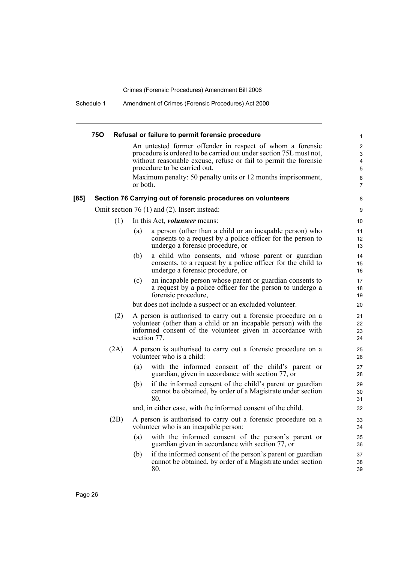Schedule 1 Amendment of Crimes (Forensic Procedures) Act 2000

|      | <b>750</b> |      |          | Refusal or failure to permit forensic procedure                                                                                                                                                                                     | $\mathbf{1}$                                                  |
|------|------------|------|----------|-------------------------------------------------------------------------------------------------------------------------------------------------------------------------------------------------------------------------------------|---------------------------------------------------------------|
|      |            |      |          | An untested former offender in respect of whom a forensic<br>procedure is ordered to be carried out under section 75L must not,<br>without reasonable excuse, refuse or fail to permit the forensic<br>procedure to be carried out. | $\overline{2}$<br>3<br>$\overline{\mathbf{4}}$<br>$\mathbf 5$ |
|      |            |      | or both. | Maximum penalty: 50 penalty units or 12 months imprisonment,                                                                                                                                                                        | 6<br>$\overline{7}$                                           |
| [85] |            |      |          | Section 76 Carrying out of forensic procedures on volunteers                                                                                                                                                                        | 8                                                             |
|      |            |      |          | Omit section $76(1)$ and $(2)$ . Insert instead:                                                                                                                                                                                    | 9                                                             |
|      |            | (1)  |          | In this Act, <i>volunteer</i> means:                                                                                                                                                                                                | 10                                                            |
|      |            |      | (a)      | a person (other than a child or an incapable person) who<br>consents to a request by a police officer for the person to<br>undergo a forensic procedure, or                                                                         | 11<br>12<br>13                                                |
|      |            |      | (b)      | a child who consents, and whose parent or guardian<br>consents, to a request by a police officer for the child to<br>undergo a forensic procedure, or                                                                               | 14<br>15<br>16                                                |
|      |            |      | (c)      | an incapable person whose parent or guardian consents to<br>a request by a police officer for the person to undergo a<br>forensic procedure,                                                                                        | 17<br>18<br>19                                                |
|      |            |      |          | but does not include a suspect or an excluded volunteer.                                                                                                                                                                            | 20                                                            |
|      |            | (2)  |          | A person is authorised to carry out a forensic procedure on a<br>volunteer (other than a child or an incapable person) with the<br>informed consent of the volunteer given in accordance with<br>section 77.                        | 21<br>22<br>23<br>24                                          |
|      |            | (2A) |          | A person is authorised to carry out a forensic procedure on a<br>volunteer who is a child:                                                                                                                                          | 25<br>26                                                      |
|      |            |      | (a)      | with the informed consent of the child's parent or<br>guardian, given in accordance with section 77, or                                                                                                                             | 27<br>28                                                      |
|      |            |      | (b)      | if the informed consent of the child's parent or guardian<br>cannot be obtained, by order of a Magistrate under section<br>80.                                                                                                      | 29<br>30<br>31                                                |
|      |            |      |          | and, in either case, with the informed consent of the child.                                                                                                                                                                        | 32                                                            |
|      |            | (2B) |          | A person is authorised to carry out a forensic procedure on a<br>volunteer who is an incapable person:                                                                                                                              | 33<br>34                                                      |
|      |            |      | (a)      | with the informed consent of the person's parent or<br>guardian given in accordance with section 77, or                                                                                                                             | 35<br>36                                                      |
|      |            |      | (b)      | if the informed consent of the person's parent or guardian<br>cannot be obtained, by order of a Magistrate under section<br>80.                                                                                                     | 37<br>38<br>39                                                |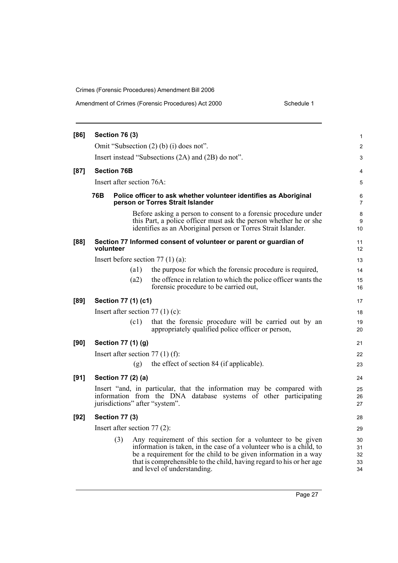| Amendment of Crimes (Forensic Procedures) Act 2000 | Schedule 1 |
|----------------------------------------------------|------------|
|----------------------------------------------------|------------|

| [86]   |           | <b>Section 76 (3)</b>     |                    |                                                                                                                                                                                                                                                                                                              | 1                          |
|--------|-----------|---------------------------|--------------------|--------------------------------------------------------------------------------------------------------------------------------------------------------------------------------------------------------------------------------------------------------------------------------------------------------------|----------------------------|
|        |           |                           |                    | Omit "Subsection $(2)$ (b) (i) does not".                                                                                                                                                                                                                                                                    | 2                          |
|        |           |                           |                    | Insert instead "Subsections (2A) and (2B) do not".                                                                                                                                                                                                                                                           | 3                          |
| $[87]$ |           | <b>Section 76B</b>        |                    |                                                                                                                                                                                                                                                                                                              | 4                          |
|        |           | Insert after section 76A: |                    |                                                                                                                                                                                                                                                                                                              | 5                          |
|        | 76B       |                           |                    | Police officer to ask whether volunteer identifies as Aboriginal<br>person or Torres Strait Islander                                                                                                                                                                                                         | 6<br>7                     |
|        |           |                           |                    | Before asking a person to consent to a forensic procedure under<br>this Part, a police officer must ask the person whether he or she<br>identifies as an Aboriginal person or Torres Strait Islander.                                                                                                        | 8<br>9<br>10               |
| [88]   | volunteer |                           |                    | Section 77 Informed consent of volunteer or parent or guardian of                                                                                                                                                                                                                                            | 11<br>12                   |
|        |           |                           |                    | Insert before section $77(1)(a)$ :                                                                                                                                                                                                                                                                           | 13                         |
|        |           |                           | $\left( a1\right)$ | the purpose for which the forensic procedure is required,                                                                                                                                                                                                                                                    | 14                         |
|        |           |                           | (a2)               | the offence in relation to which the police officer wants the<br>forensic procedure to be carried out,                                                                                                                                                                                                       | 15<br>16                   |
| [89]   |           | Section 77 (1) (c1)       |                    |                                                                                                                                                                                                                                                                                                              | 17                         |
|        |           |                           |                    | Insert after section 77 $(1)$ (c):                                                                                                                                                                                                                                                                           | 18                         |
|        |           |                           | (c1)               | that the forensic procedure will be carried out by an<br>appropriately qualified police officer or person,                                                                                                                                                                                                   | 19<br>20                   |
| [90]   |           | Section 77 (1) (g)        |                    |                                                                                                                                                                                                                                                                                                              | 21                         |
|        |           |                           |                    | Insert after section 77 $(1)$ $(f)$ :                                                                                                                                                                                                                                                                        | 22                         |
|        |           |                           | (g)                | the effect of section 84 (if applicable).                                                                                                                                                                                                                                                                    | 23                         |
| $[91]$ |           | Section 77 (2) (a)        |                    |                                                                                                                                                                                                                                                                                                              | 24                         |
|        |           |                           |                    | Insert "and, in particular, that the information may be compared with<br>information from the DNA database systems of other participating<br>jurisdictions" after "system".                                                                                                                                  | 25<br>26<br>27             |
| [92]   |           | <b>Section 77 (3)</b>     |                    |                                                                                                                                                                                                                                                                                                              | 28                         |
|        |           |                           |                    | Insert after section $77(2)$ :                                                                                                                                                                                                                                                                               | 29                         |
|        |           | (3)                       |                    | Any requirement of this section for a volunteer to be given<br>information is taken, in the case of a volunteer who is a child, to<br>be a requirement for the child to be given information in a way<br>that is comprehensible to the child, having regard to his or her age<br>and level of understanding. | 30<br>31<br>32<br>33<br>34 |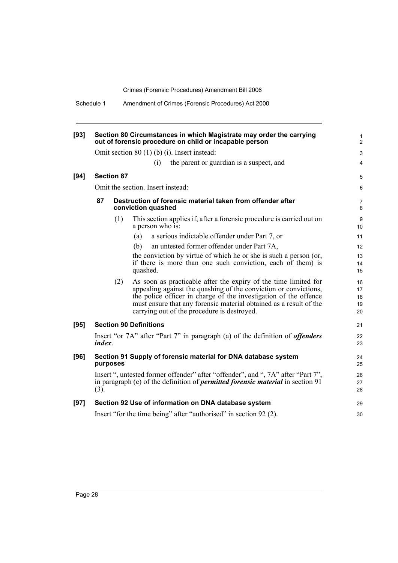21 22 23

| $[93]$ |               |                   | Section 80 Circumstances in which Magistrate may order the carrying                                                                                                                                                                                                                                                          |
|--------|---------------|-------------------|------------------------------------------------------------------------------------------------------------------------------------------------------------------------------------------------------------------------------------------------------------------------------------------------------------------------------|
|        |               |                   | out of forensic procedure on child or incapable person                                                                                                                                                                                                                                                                       |
|        |               |                   | Omit section $80(1)(b)(i)$ . Insert instead:                                                                                                                                                                                                                                                                                 |
|        |               |                   | the parent or guardian is a suspect, and<br>(i)                                                                                                                                                                                                                                                                              |
| $[94]$ |               | <b>Section 87</b> |                                                                                                                                                                                                                                                                                                                              |
|        |               |                   | Omit the section. Insert instead:                                                                                                                                                                                                                                                                                            |
|        | 87            |                   | Destruction of forensic material taken from offender after<br>conviction quashed                                                                                                                                                                                                                                             |
|        |               | (1)               | This section applies if, after a forensic procedure is carried out on<br>a person who is:                                                                                                                                                                                                                                    |
|        |               |                   | (a)<br>a serious indictable offender under Part 7, or                                                                                                                                                                                                                                                                        |
|        |               |                   | (b)<br>an untested former offender under Part 7A,                                                                                                                                                                                                                                                                            |
|        |               |                   | the conviction by virtue of which he or she is such a person (or,<br>if there is more than one such conviction, each of them) is<br>quashed.                                                                                                                                                                                 |
|        |               | (2)               | As soon as practicable after the expiry of the time limited for<br>appealing against the quashing of the conviction or convictions,<br>the police officer in charge of the investigation of the offence<br>must ensure that any forensic material obtained as a result of the<br>carrying out of the procedure is destroyed. |
| [95]   |               |                   | <b>Section 90 Definitions</b>                                                                                                                                                                                                                                                                                                |
|        | <i>index.</i> |                   | Insert "or 7A" after "Part 7" in paragraph (a) of the definition of <i>offenders</i>                                                                                                                                                                                                                                         |
| [96]   |               | purposes          | Section 91 Supply of forensic material for DNA database system                                                                                                                                                                                                                                                               |
|        | (3).          |                   | Insert ", untested former offender" after "offender", and ", 7A" after "Part 7",<br>in paragraph (c) of the definition of <i>permitted forensic material</i> in section 91                                                                                                                                                   |
| [97]   |               |                   | Section 92 Use of information on DNA database system                                                                                                                                                                                                                                                                         |
|        |               |                   | Insert "for the time being" after "authorised" in section 92 (2).                                                                                                                                                                                                                                                            |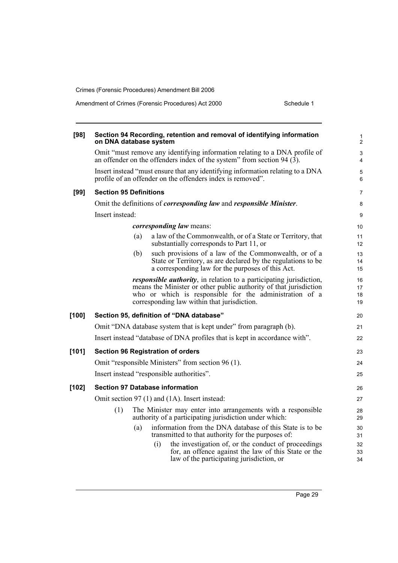Amendment of Crimes (Forensic Procedures) Act 2000

| Schedule 1 |  |
|------------|--|

| $[98]$ | Section 94 Recording, retention and removal of identifying information<br>on DNA database system                                                                                                                                                           | 1<br>$\overline{2}$  |
|--------|------------------------------------------------------------------------------------------------------------------------------------------------------------------------------------------------------------------------------------------------------------|----------------------|
|        | Omit "must remove any identifying information relating to a DNA profile of<br>an offender on the offenders index of the system" from section 94 $(3)$ .                                                                                                    | 3<br>4               |
|        | Insert instead "must ensure that any identifying information relating to a DNA<br>profile of an offender on the offenders index is removed".                                                                                                               | 5<br>6               |
| [99]   | <b>Section 95 Definitions</b>                                                                                                                                                                                                                              | 7                    |
|        | Omit the definitions of corresponding law and responsible Minister.                                                                                                                                                                                        | 8                    |
|        | Insert instead:                                                                                                                                                                                                                                            | 9                    |
|        | <i>corresponding law means:</i>                                                                                                                                                                                                                            | 10                   |
|        | a law of the Commonwealth, or of a State or Territory, that<br>(a)<br>substantially corresponds to Part 11, or                                                                                                                                             | 11<br>12             |
|        | such provisions of a law of the Commonwealth, or of a<br>(b)<br>State or Territory, as are declared by the regulations to be<br>a corresponding law for the purposes of this Act.                                                                          | 13<br>14<br>15       |
|        | <i>responsible authority</i> , in relation to a participating jurisdiction,<br>means the Minister or other public authority of that jurisdiction<br>who or which is responsible for the administration of a<br>corresponding law within that jurisdiction. | 16<br>17<br>18<br>19 |
| [100]  | Section 95, definition of "DNA database"                                                                                                                                                                                                                   | 20                   |
|        | Omit "DNA database system that is kept under" from paragraph (b).                                                                                                                                                                                          | 21                   |
|        | Insert instead "database of DNA profiles that is kept in accordance with".                                                                                                                                                                                 | 22                   |
| [101]  | <b>Section 96 Registration of orders</b>                                                                                                                                                                                                                   | 23                   |
|        | Omit "responsible Ministers" from section 96 (1).                                                                                                                                                                                                          | 24                   |
|        | Insert instead "responsible authorities".                                                                                                                                                                                                                  | 25                   |
| [102]  | <b>Section 97 Database information</b>                                                                                                                                                                                                                     | 26                   |
|        | Omit section 97 (1) and (1A). Insert instead:                                                                                                                                                                                                              | 27                   |
|        | (1)<br>The Minister may enter into arrangements with a responsible<br>authority of a participating jurisdiction under which:<br>information from the DNA database of this State is to be<br>(a)                                                            | 28<br>29<br>30       |
|        | transmitted to that authority for the purposes of:<br>the investigation of, or the conduct of proceedings<br>(i)<br>for, an offence against the law of this State or the<br>law of the participating jurisdiction, or                                      | 31<br>32<br>33<br>34 |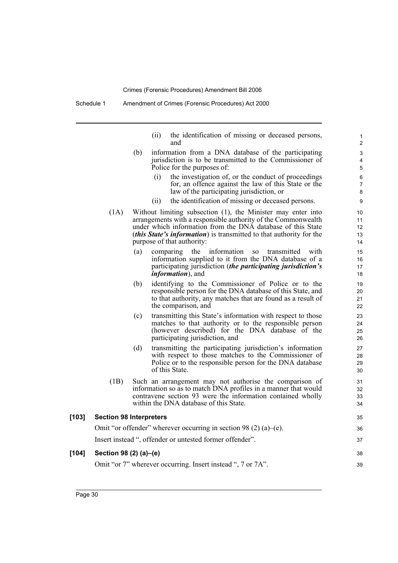| (ii) the identification of missing or deceased persons, |
|---------------------------------------------------------|
| and                                                     |

35 36 37

38 39

- (b) information from a DNA database of the participating jurisdiction is to be transmitted to the Commissioner of Police for the purposes of:
	- (i) the investigation of, or the conduct of proceedings for, an offence against the law of this State or the law of the participating jurisdiction, or
	- (ii) the identification of missing or deceased persons.
- (1A) Without limiting subsection (1), the Minister may enter into arrangements with a responsible authority of the Commonwealth under which information from the DNA database of this State (*this State's information*) is transmitted to that authority for the purpose of that authority:
	- (a) comparing the information so transmitted with information supplied to it from the DNA database of a participating jurisdiction (*the participating jurisdiction's information*), and
	- (b) identifying to the Commissioner of Police or to the responsible person for the DNA database of this State, and to that authority, any matches that are found as a result of the comparison, and
	- (c) transmitting this State's information with respect to those matches to that authority or to the responsible person (however described) for the DNA database of the participating jurisdiction, and
	- (d) transmitting the participating jurisdiction's information with respect to those matches to the Commissioner of Police or to the responsible person for the DNA database of this State.
- (1B) Such an arrangement may not authorise the comparison of information so as to match DNA profiles in a manner that would contravene section 93 were the information contained wholly within the DNA database of this State.

# **[103] Section 98 Interpreters**

Omit "or offender" wherever occurring in section 98 (2) (a)–(e). Insert instead ", offender or untested former offender".

#### **[104] Section 98 (2) (a)–(e)**

Omit "or 7" wherever occurring. Insert instead ", 7 or 7A".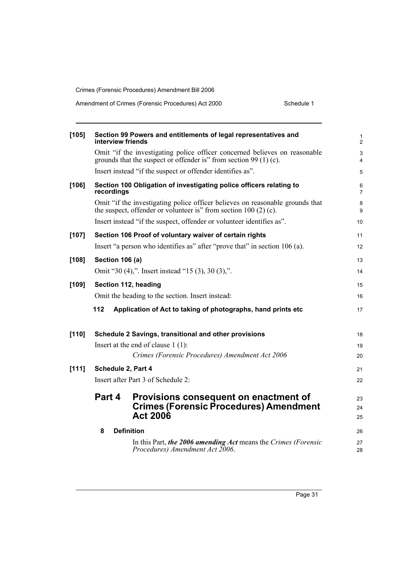|  | Amendment of Crimes (Forensic Procedures) Act 2000 | Schedule 1 |
|--|----------------------------------------------------|------------|
|--|----------------------------------------------------|------------|

| [105]   | interview friends                                | Section 99 Powers and entitlements of legal representatives and                                                                                    |  |  |  |
|---------|--------------------------------------------------|----------------------------------------------------------------------------------------------------------------------------------------------------|--|--|--|
|         |                                                  | Omit "if the investigating police officer concerned believes on reasonable<br>grounds that the suspect or offender is" from section 99 $(1)$ (c).  |  |  |  |
|         |                                                  | Insert instead "if the suspect or offender identifies as".                                                                                         |  |  |  |
| [106]   | recordings                                       | Section 100 Obligation of investigating police officers relating to                                                                                |  |  |  |
|         |                                                  | Omit "if the investigating police officer believes on reasonable grounds that<br>the suspect, offender or volunteer is" from section $100(2)$ (c). |  |  |  |
|         |                                                  | Insert instead "if the suspect, offender or volunteer identifies as".                                                                              |  |  |  |
| $[107]$ |                                                  | Section 106 Proof of voluntary waiver of certain rights                                                                                            |  |  |  |
|         |                                                  | Insert "a person who identifies as" after "prove that" in section 106 (a).                                                                         |  |  |  |
| [108]   | Section 106 (a)                                  |                                                                                                                                                    |  |  |  |
|         |                                                  | Omit "30 (4),". Insert instead "15 (3), 30 (3),".                                                                                                  |  |  |  |
| [109]   |                                                  | Section 112, heading                                                                                                                               |  |  |  |
|         | Omit the heading to the section. Insert instead: |                                                                                                                                                    |  |  |  |
|         | 112                                              | Application of Act to taking of photographs, hand prints etc                                                                                       |  |  |  |
| [110]   |                                                  | Schedule 2 Savings, transitional and other provisions                                                                                              |  |  |  |
|         |                                                  | Insert at the end of clause $1(1)$ :                                                                                                               |  |  |  |
|         |                                                  | Crimes (Forensic Procedures) Amendment Act 2006                                                                                                    |  |  |  |
| [111]   | Schedule 2, Part 4                               |                                                                                                                                                    |  |  |  |
|         |                                                  | Insert after Part 3 of Schedule 2:                                                                                                                 |  |  |  |
|         | Part 4                                           | Provisions consequent on enactment of<br><b>Crimes (Forensic Procedures) Amendment</b><br><b>Act 2006</b>                                          |  |  |  |
|         | 8                                                | <b>Definition</b>                                                                                                                                  |  |  |  |
|         |                                                  | In this Part, the 2006 amending Act means the Crimes (Forensic<br>Procedures) Amendment Act 2006.                                                  |  |  |  |
|         |                                                  |                                                                                                                                                    |  |  |  |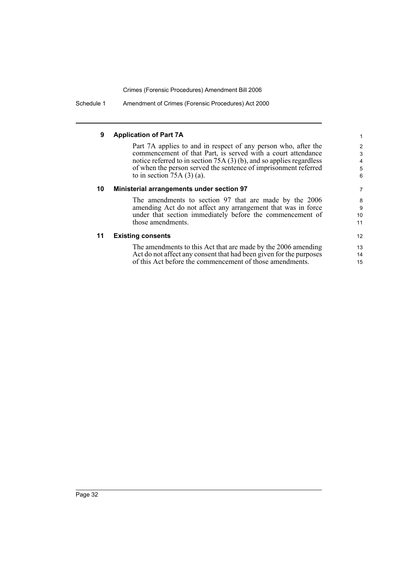Schedule 1 Amendment of Crimes (Forensic Procedures) Act 2000

# **9 Application of Part 7A**

Part 7A applies to and in respect of any person who, after the commencement of that Part, is served with a court attendance notice referred to in section  $75A(3)(b)$ , and so applies regardless of when the person served the sentence of imprisonment referred to in section  $75A(3)(a)$ .

# **10 Ministerial arrangements under section 97**

The amendments to section 97 that are made by the 2006 amending Act do not affect any arrangement that was in force under that section immediately before the commencement of those amendments.

## **11 Existing consents**

The amendments to this Act that are made by the 2006 amending Act do not affect any consent that had been given for the purposes of this Act before the commencement of those amendments.